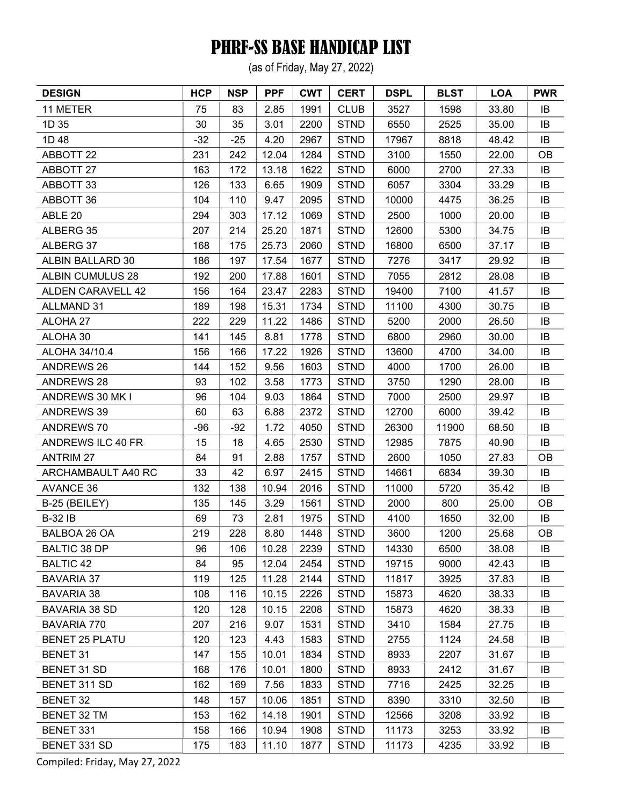(as of Friday, May 27, 2022)

| <b>DESIGN</b>            | <b>HCP</b> | <b>NSP</b> | <b>PPF</b> | <b>CWT</b> | <b>CERT</b> | <b>DSPL</b> | <b>BLST</b> | <b>LOA</b> | <b>PWR</b> |
|--------------------------|------------|------------|------------|------------|-------------|-------------|-------------|------------|------------|
| 11 METER                 | 75         | 83         | 2.85       | 1991       | <b>CLUB</b> | 3527        | 1598        | 33.80      | IB         |
| 1D 35                    | 30         | 35         | 3.01       | 2200       | <b>STND</b> | 6550        | 2525        | 35.00      | IB         |
| 1D 48                    | $-32$      | $-25$      | 4.20       | 2967       | <b>STND</b> | 17967       | 8818        | 48.42      | IB         |
| <b>ABBOTT 22</b>         | 231        | 242        | 12.04      | 1284       | <b>STND</b> | 3100        | 1550        | 22.00      | <b>OB</b>  |
| ABBOTT 27                | 163        | 172        | 13.18      | 1622       | <b>STND</b> | 6000        | 2700        | 27.33      | IB         |
| ABBOTT 33                | 126        | 133        | 6.65       | 1909       | <b>STND</b> | 6057        | 3304        | 33.29      | IB         |
| <b>ABBOTT 36</b>         | 104        | 110        | 9.47       | 2095       | <b>STND</b> | 10000       | 4475        | 36.25      | IB         |
| ABLE 20                  | 294        | 303        | 17.12      | 1069       | <b>STND</b> | 2500        | 1000        | 20.00      | IB         |
| ALBERG 35                | 207        | 214        | 25.20      | 1871       | <b>STND</b> | 12600       | 5300        | 34.75      | IB         |
| ALBERG 37                | 168        | 175        | 25.73      | 2060       | <b>STND</b> | 16800       | 6500        | 37.17      | IB         |
| ALBIN BALLARD 30         | 186        | 197        | 17.54      | 1677       | <b>STND</b> | 7276        | 3417        | 29.92      | IB         |
| <b>ALBIN CUMULUS 28</b>  | 192        | 200        | 17.88      | 1601       | <b>STND</b> | 7055        | 2812        | 28.08      | IB         |
| <b>ALDEN CARAVELL 42</b> | 156        | 164        | 23.47      | 2283       | <b>STND</b> | 19400       | 7100        | 41.57      | IB         |
| <b>ALLMAND 31</b>        | 189        | 198        | 15.31      | 1734       | <b>STND</b> | 11100       | 4300        | 30.75      | IB         |
| ALOHA 27                 | 222        | 229        | 11.22      | 1486       | <b>STND</b> | 5200        | 2000        | 26.50      | IB         |
| ALOHA 30                 | 141        | 145        | 8.81       | 1778       | <b>STND</b> | 6800        | 2960        | 30.00      | IB         |
| ALOHA 34/10.4            | 156        | 166        | 17.22      | 1926       | <b>STND</b> | 13600       | 4700        | 34.00      | IB         |
| <b>ANDREWS 26</b>        | 144        | 152        | 9.56       | 1603       | <b>STND</b> | 4000        | 1700        | 26.00      | IB         |
| <b>ANDREWS 28</b>        | 93         | 102        | 3.58       | 1773       | <b>STND</b> | 3750        | 1290        | 28.00      | IB         |
| ANDREWS 30 MK I          | 96         | 104        | 9.03       | 1864       | <b>STND</b> | 7000        | 2500        | 29.97      | IB         |
| <b>ANDREWS 39</b>        | 60         | 63         | 6.88       | 2372       | <b>STND</b> | 12700       | 6000        | 39.42      | IB         |
| ANDREWS 70               | $-96$      | $-92$      | 1.72       | 4050       | <b>STND</b> | 26300       | 11900       | 68.50      | IB         |
| ANDREWS ILC 40 FR        | 15         | 18         | 4.65       | 2530       | <b>STND</b> | 12985       | 7875        | 40.90      | IB         |
| <b>ANTRIM 27</b>         | 84         | 91         | 2.88       | 1757       | <b>STND</b> | 2600        | 1050        | 27.83      | <b>OB</b>  |
| ARCHAMBAULT A40 RC       | 33         | 42         | 6.97       | 2415       | <b>STND</b> | 14661       | 6834        | 39.30      | IB         |
| <b>AVANCE 36</b>         | 132        | 138        | 10.94      | 2016       | <b>STND</b> | 11000       | 5720        | 35.42      | IB         |
| B-25 (BEILEY)            | 135        | 145        | 3.29       | 1561       | <b>STND</b> | 2000        | 800         | 25.00      | OB         |
| <b>B-32 IB</b>           | 69         | 73         | 2.81       | 1975       | <b>STND</b> | 4100        | 1650        | 32.00      | IB         |
| BALBOA 26 OA             | 219        | 228        | 8.80       | 1448       | <b>STND</b> | 3600        | 1200        | 25.68      | OB         |
| <b>BALTIC 38 DP</b>      | 96         | 106        | 10.28      | 2239       | <b>STND</b> | 14330       | 6500        | 38.08      | IB         |
| <b>BALTIC 42</b>         | 84         | 95         | 12.04      | 2454       | <b>STND</b> | 19715       | 9000        | 42.43      | IB         |
| <b>BAVARIA 37</b>        | 119        | 125        | 11.28      | 2144       | <b>STND</b> | 11817       | 3925        | 37.83      | IB         |
| <b>BAVARIA 38</b>        | 108        | 116        | 10.15      | 2226       | <b>STND</b> | 15873       | 4620        | 38.33      | IB         |
| BAVARIA 38 SD            | 120        | 128        | 10.15      | 2208       | <b>STND</b> | 15873       | 4620        | 38.33      | IB         |
| <b>BAVARIA 770</b>       | 207        | 216        | 9.07       | 1531       | <b>STND</b> | 3410        | 1584        | 27.75      | IB         |
| <b>BENET 25 PLATU</b>    | 120        | 123        | 4.43       | 1583       | <b>STND</b> | 2755        | 1124        | 24.58      | IB         |
| <b>BENET 31</b>          | 147        | 155        | 10.01      | 1834       | <b>STND</b> | 8933        | 2207        | 31.67      | IB         |
| BENET 31 SD              | 168        | 176        | 10.01      | 1800       | <b>STND</b> | 8933        | 2412        | 31.67      | IB         |
| BENET 311 SD             | 162        | 169        | 7.56       | 1833       | <b>STND</b> | 7716        | 2425        | 32.25      | IB         |
| <b>BENET 32</b>          | 148        | 157        | 10.06      | 1851       | <b>STND</b> | 8390        | 3310        | 32.50      | IB         |
| <b>BENET 32 TM</b>       | 153        | 162        | 14.18      | 1901       | <b>STND</b> | 12566       | 3208        | 33.92      | IB         |
| BENET 331                | 158        | 166        | 10.94      | 1908       | <b>STND</b> | 11173       | 3253        | 33.92      | IB         |
| BENET 331 SD             | 175        | 183        | 11.10      | 1877       | <b>STND</b> | 11173       | 4235        | 33.92      | IB         |
|                          |            |            |            |            |             |             |             |            |            |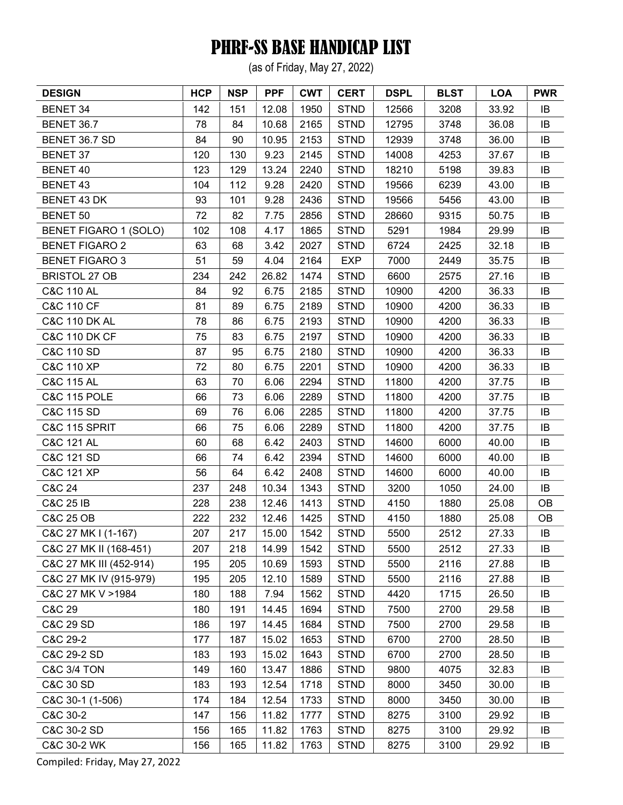(as of Friday, May 27, 2022)

| <b>DESIGN</b>            | <b>HCP</b> | <b>NSP</b> | <b>PPF</b> | <b>CWT</b> | <b>CERT</b> | <b>DSPL</b> | <b>BLST</b> | <b>LOA</b> | <b>PWR</b> |
|--------------------------|------------|------------|------------|------------|-------------|-------------|-------------|------------|------------|
| <b>BENET 34</b>          | 142        | 151        | 12.08      | 1950       | <b>STND</b> | 12566       | 3208        | 33.92      | IB         |
| <b>BENET 36.7</b>        | 78         | 84         | 10.68      | 2165       | <b>STND</b> | 12795       | 3748        | 36.08      | IB         |
| BENET 36.7 SD            | 84         | 90         | 10.95      | 2153       | <b>STND</b> | 12939       | 3748        | 36.00      | IB         |
| <b>BENET 37</b>          | 120        | 130        | 9.23       | 2145       | <b>STND</b> | 14008       | 4253        | 37.67      | IB         |
| <b>BENET 40</b>          | 123        | 129        | 13.24      | 2240       | <b>STND</b> | 18210       | 5198        | 39.83      | IB         |
| BENET 43                 | 104        | 112        | 9.28       | 2420       | <b>STND</b> | 19566       | 6239        | 43.00      | IB         |
| BENET 43 DK              | 93         | 101        | 9.28       | 2436       | <b>STND</b> | 19566       | 5456        | 43.00      | IB         |
| <b>BENET 50</b>          | 72         | 82         | 7.75       | 2856       | <b>STND</b> | 28660       | 9315        | 50.75      | IB         |
| BENET FIGARO 1 (SOLO)    | 102        | 108        | 4.17       | 1865       | <b>STND</b> | 5291        | 1984        | 29.99      | IB         |
| <b>BENET FIGARO 2</b>    | 63         | 68         | 3.42       | 2027       | <b>STND</b> | 6724        | 2425        | 32.18      | IB         |
| <b>BENET FIGARO 3</b>    | 51         | 59         | 4.04       | 2164       | <b>EXP</b>  | 7000        | 2449        | 35.75      | IB         |
| <b>BRISTOL 27 OB</b>     | 234        | 242        | 26.82      | 1474       | <b>STND</b> | 6600        | 2575        | 27.16      | IB         |
| <b>C&amp;C 110 AL</b>    | 84         | 92         | 6.75       | 2185       | <b>STND</b> | 10900       | 4200        | 36.33      | IB         |
| <b>C&amp;C 110 CF</b>    | 81         | 89         | 6.75       | 2189       | <b>STND</b> | 10900       | 4200        | 36.33      | IB         |
| <b>C&amp;C 110 DK AL</b> | 78         | 86         | 6.75       | 2193       | <b>STND</b> | 10900       | 4200        | 36.33      | IB         |
| <b>C&amp;C 110 DK CF</b> | 75         | 83         | 6.75       | 2197       | <b>STND</b> | 10900       | 4200        | 36.33      | IB         |
| <b>C&amp;C 110 SD</b>    | 87         | 95         | 6.75       | 2180       | <b>STND</b> | 10900       | 4200        | 36.33      | IB         |
| C&C 110 XP               | 72         | 80         | 6.75       | 2201       | <b>STND</b> | 10900       | 4200        | 36.33      | IB         |
| <b>C&amp;C 115 AL</b>    | 63         | 70         | 6.06       | 2294       | <b>STND</b> | 11800       | 4200        | 37.75      | IB         |
| <b>C&amp;C 115 POLE</b>  | 66         | 73         | 6.06       | 2289       | <b>STND</b> | 11800       | 4200        | 37.75      | IB         |
| C&C 115 SD               | 69         | 76         | 6.06       | 2285       | <b>STND</b> | 11800       | 4200        | 37.75      | IB         |
| <b>C&amp;C 115 SPRIT</b> | 66         | 75         | 6.06       | 2289       | <b>STND</b> | 11800       | 4200        | 37.75      | IB         |
| <b>C&amp;C 121 AL</b>    | 60         | 68         | 6.42       | 2403       | <b>STND</b> | 14600       | 6000        | 40.00      | IB         |
| C&C 121 SD               | 66         | 74         | 6.42       | 2394       | <b>STND</b> | 14600       | 6000        | 40.00      | IB         |
| C&C 121 XP               | 56         | 64         | 6.42       | 2408       | <b>STND</b> | 14600       | 6000        | 40.00      | IB         |
| C&C 24                   | 237        | 248        | 10.34      | 1343       | <b>STND</b> | 3200        | 1050        | 24.00      | IB         |
| <b>C&amp;C 25 IB</b>     | 228        | 238        | 12.46      | 1413       | <b>STND</b> | 4150        | 1880        | 25.08      | <b>OB</b>  |
| <b>C&amp;C 25 OB</b>     | 222        | 232        | 12.46      | 1425       | <b>STND</b> | 4150        | 1880        | 25.08      | OB         |
| C&C 27 MK I (1-167)      | 207        | 217        | 15.00      | 1542       | <b>STND</b> | 5500        | 2512        | 27.33      | IB         |
| C&C 27 MK II (168-451)   | 207        | 218        | 14.99      | 1542       | <b>STND</b> | 5500        | 2512        | 27.33      | IB         |
| C&C 27 MK III (452-914)  | 195        | 205        | 10.69      | 1593       | <b>STND</b> | 5500        | 2116        | 27.88      | IB         |
| C&C 27 MK IV (915-979)   | 195        | 205        | 12.10      | 1589       | <b>STND</b> | 5500        | 2116        | 27.88      | IB         |
| C&C 27 MK V > 1984       | 180        | 188        | 7.94       | 1562       | <b>STND</b> | 4420        | 1715        | 26.50      | IB         |
| C&C 29                   | 180        | 191        | 14.45      | 1694       | <b>STND</b> | 7500        | 2700        | 29.58      | IB         |
| C&C 29 SD                | 186        | 197        | 14.45      | 1684       | <b>STND</b> | 7500        | 2700        | 29.58      | IB         |
| C&C 29-2                 | 177        | 187        | 15.02      | 1653       | <b>STND</b> | 6700        | 2700        | 28.50      | IB         |
| C&C 29-2 SD              | 183        | 193        | 15.02      | 1643       | <b>STND</b> | 6700        | 2700        | 28.50      | IB         |
| <b>C&amp;C 3/4 TON</b>   | 149        | 160        | 13.47      | 1886       | <b>STND</b> | 9800        | 4075        | 32.83      | IB         |
| <b>C&amp;C 30 SD</b>     | 183        | 193        | 12.54      | 1718       | <b>STND</b> | 8000        | 3450        | 30.00      | IB         |
| C&C 30-1 (1-506)         | 174        | 184        | 12.54      | 1733       | <b>STND</b> | 8000        | 3450        | 30.00      | IB         |
| C&C 30-2                 | 147        | 156        | 11.82      | 1777       | <b>STND</b> | 8275        | 3100        | 29.92      | IB         |
| C&C 30-2 SD              | 156        | 165        | 11.82      | 1763       | <b>STND</b> | 8275        | 3100        | 29.92      | IB         |
| C&C 30-2 WK              | 156        | 165        | 11.82      | 1763       | <b>STND</b> | 8275        | 3100        | 29.92      | IB         |
|                          |            |            |            |            |             |             |             |            |            |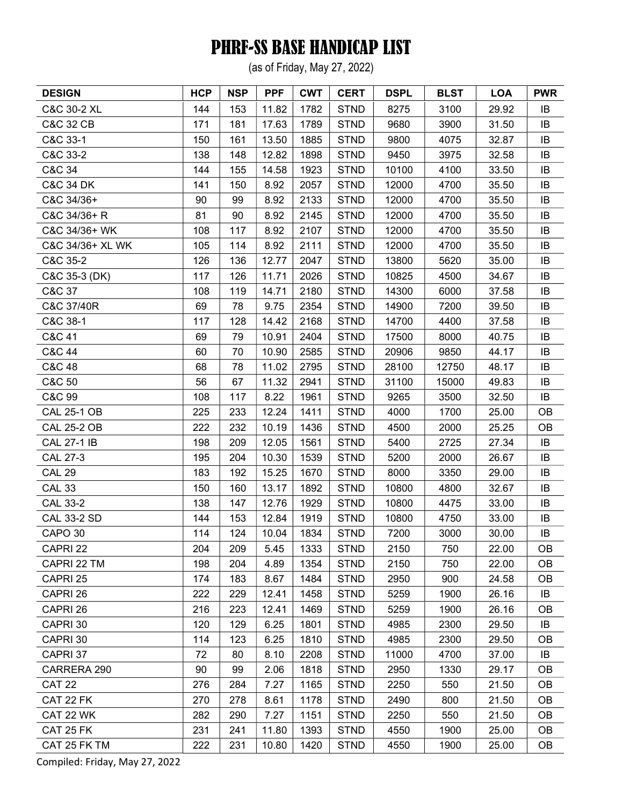(as of Friday, May 27, 2022)

| <b>DESIGN</b>        | <b>HCP</b> | <b>NSP</b> | <b>PPF</b> | <b>CWT</b> | <b>CERT</b> | <b>DSPL</b> | <b>BLST</b> | <b>LOA</b> | <b>PWR</b> |
|----------------------|------------|------------|------------|------------|-------------|-------------|-------------|------------|------------|
| C&C 30-2 XL          | 144        | 153        | 11.82      | 1782       | <b>STND</b> | 8275        | 3100        | 29.92      | IB         |
| <b>C&amp;C 32 CB</b> | 171        | 181        | 17.63      | 1789       | <b>STND</b> | 9680        | 3900        | 31.50      | IB         |
| C&C 33-1             | 150        | 161        | 13.50      | 1885       | <b>STND</b> | 9800        | 4075        | 32.87      | IB         |
| C&C 33-2             | 138        | 148        | 12.82      | 1898       | <b>STND</b> | 9450        | 3975        | 32.58      | IB         |
| C&C 34               | 144        | 155        | 14.58      | 1923       | <b>STND</b> | 10100       | 4100        | 33.50      | IB         |
| <b>C&amp;C 34 DK</b> | 141        | 150        | 8.92       | 2057       | <b>STND</b> | 12000       | 4700        | 35.50      | IB         |
| C&C 34/36+           | 90         | 99         | 8.92       | 2133       | <b>STND</b> | 12000       | 4700        | 35.50      | IB         |
| C&C 34/36+ R         | 81         | 90         | 8.92       | 2145       | <b>STND</b> | 12000       | 4700        | 35.50      | IB         |
| C&C 34/36+ WK        | 108        | 117        | 8.92       | 2107       | <b>STND</b> | 12000       | 4700        | 35.50      | IB         |
| C&C 34/36+ XL WK     | 105        | 114        | 8.92       | 2111       | <b>STND</b> | 12000       | 4700        | 35.50      | IB         |
| C&C 35-2             | 126        | 136        | 12.77      | 2047       | <b>STND</b> | 13800       | 5620        | 35.00      | IB         |
| C&C 35-3 (DK)        | 117        | 126        | 11.71      | 2026       | <b>STND</b> | 10825       | 4500        | 34.67      | IB         |
| C&C 37               | 108        | 119        | 14.71      | 2180       | <b>STND</b> | 14300       | 6000        | 37.58      | IB         |
| C&C 37/40R           | 69         | 78         | 9.75       | 2354       | <b>STND</b> | 14900       | 7200        | 39.50      | IB         |
| C&C 38-1             | 117        | 128        | 14.42      | 2168       | <b>STND</b> | 14700       | 4400        | 37.58      | IB         |
| C&C 41               | 69         | 79         | 10.91      | 2404       | <b>STND</b> | 17500       | 8000        | 40.75      | IB         |
| C&C 44               | 60         | 70         | 10.90      | 2585       | <b>STND</b> | 20906       | 9850        | 44.17      | IB         |
| C&C 48               | 68         | 78         | 11.02      | 2795       | <b>STND</b> | 28100       | 12750       | 48.17      | IB         |
| C&C 50               | 56         | 67         | 11.32      | 2941       | <b>STND</b> | 31100       | 15000       | 49.83      | IB         |
| C&C 99               | 108        | 117        | 8.22       | 1961       | <b>STND</b> | 9265        | 3500        | 32.50      | IB         |
| <b>CAL 25-1 OB</b>   | 225        | 233        | 12.24      | 1411       | <b>STND</b> | 4000        | 1700        | 25.00      | <b>OB</b>  |
| <b>CAL 25-2 OB</b>   | 222        | 232        | 10.19      | 1436       | <b>STND</b> | 4500        | 2000        | 25.25      | OB         |
| <b>CAL 27-1 IB</b>   | 198        | 209        | 12.05      | 1561       | <b>STND</b> | 5400        | 2725        | 27.34      | IB         |
| <b>CAL 27-3</b>      | 195        | 204        | 10.30      | 1539       | <b>STND</b> | 5200        | 2000        | 26.67      | IB         |
| <b>CAL 29</b>        | 183        | 192        | 15.25      | 1670       | <b>STND</b> | 8000        | 3350        | 29.00      | IB         |
| <b>CAL 33</b>        | 150        | 160        | 13.17      | 1892       | <b>STND</b> | 10800       | 4800        | 32.67      | IB         |
| <b>CAL 33-2</b>      | 138        | 147        | 12.76      | 1929       | <b>STND</b> | 10800       | 4475        | 33.00      | IB         |
| <b>CAL 33-2 SD</b>   | 144        | 153        | 12.84      | 1919       | <b>STND</b> | 10800       | 4750        | 33.00      | IB         |
| CAPO 30              | 114        | 124        | 10.04      | 1834       | <b>STND</b> | 7200        | 3000        | 30.00      | IB         |
| CAPRI 22             | 204        | 209        | 5.45       | 1333       | <b>STND</b> | 2150        | 750         | 22.00      | <b>OB</b>  |
| CAPRI 22 TM          | 198        | 204        | 4.89       | 1354       | <b>STND</b> | 2150        | 750         | 22.00      | <b>OB</b>  |
| CAPRI 25             | 174        | 183        | 8.67       | 1484       | <b>STND</b> | 2950        | 900         | 24.58      | <b>OB</b>  |
| CAPRI 26             | 222        | 229        | 12.41      | 1458       | <b>STND</b> | 5259        | 1900        | 26.16      | IB         |
| CAPRI 26             | 216        | 223        | 12.41      | 1469       | <b>STND</b> | 5259        | 1900        | 26.16      | <b>OB</b>  |
| CAPRI 30             | 120        | 129        | 6.25       | 1801       | <b>STND</b> | 4985        | 2300        | 29.50      | IB         |
| CAPRI 30             | 114        | 123        | 6.25       | 1810       | <b>STND</b> | 4985        | 2300        | 29.50      | <b>OB</b>  |
| CAPRI 37             | 72         | 80         | 8.10       | 2208       | <b>STND</b> | 11000       | 4700        | 37.00      | IB         |
| CARRERA 290          | 90         | 99         | 2.06       | 1818       | <b>STND</b> | 2950        | 1330        | 29.17      | <b>OB</b>  |
| <b>CAT 22</b>        | 276        | 284        | 7.27       | 1165       | <b>STND</b> | 2250        | 550         | 21.50      | <b>OB</b>  |
| CAT 22 FK            | 270        | 278        | 8.61       | 1178       | <b>STND</b> | 2490        | 800         | 21.50      | <b>OB</b>  |
| CAT 22 WK            | 282        | 290        | 7.27       | 1151       | <b>STND</b> | 2250        | 550         | 21.50      | <b>OB</b>  |
| CAT 25 FK            | 231        | 241        | 11.80      | 1393       | <b>STND</b> | 4550        | 1900        | 25.00      | <b>OB</b>  |
| CAT 25 FK TM         | 222        | 231        | 10.80      | 1420       | <b>STND</b> | 4550        | 1900        | 25.00      | OB         |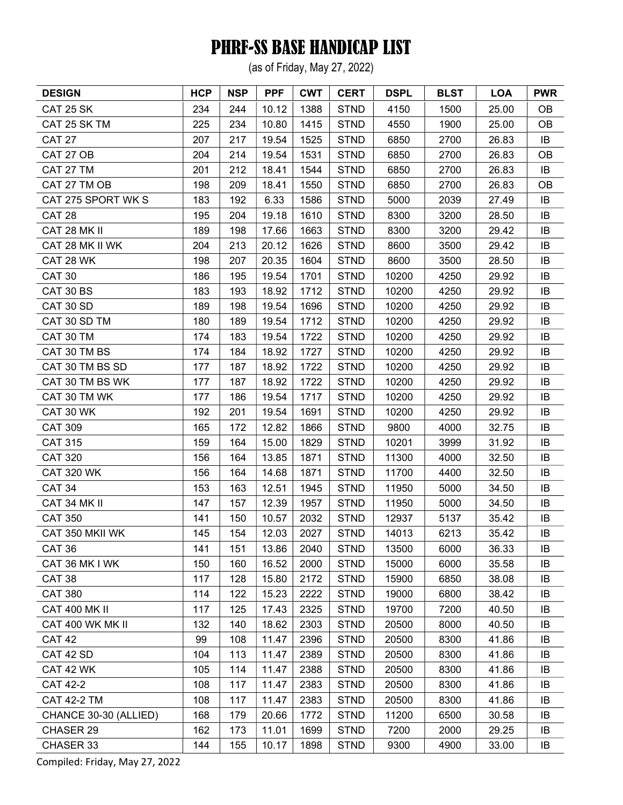(as of Friday, May 27, 2022)

| <b>DESIGN</b>         | <b>HCP</b> | <b>NSP</b> | <b>PPF</b> | <b>CWT</b> | <b>CERT</b> | <b>DSPL</b> | <b>BLST</b> | <b>LOA</b> | <b>PWR</b> |
|-----------------------|------------|------------|------------|------------|-------------|-------------|-------------|------------|------------|
| CAT 25 SK             | 234        | 244        | 10.12      | 1388       | <b>STND</b> | 4150        | 1500        | 25.00      | <b>OB</b>  |
| CAT 25 SK TM          | 225        | 234        | 10.80      | 1415       | <b>STND</b> | 4550        | 1900        | 25.00      | <b>OB</b>  |
| <b>CAT 27</b>         | 207        | 217        | 19.54      | 1525       | <b>STND</b> | 6850        | 2700        | 26.83      | IB         |
| CAT 27 OB             | 204        | 214        | 19.54      | 1531       | <b>STND</b> | 6850        | 2700        | 26.83      | <b>OB</b>  |
| CAT 27 TM             | 201        | 212        | 18.41      | 1544       | <b>STND</b> | 6850        | 2700        | 26.83      | IB         |
| CAT 27 TM OB          | 198        | 209        | 18.41      | 1550       | <b>STND</b> | 6850        | 2700        | 26.83      | <b>OB</b>  |
| CAT 275 SPORT WK S    | 183        | 192        | 6.33       | 1586       | <b>STND</b> | 5000        | 2039        | 27.49      | IB         |
| <b>CAT 28</b>         | 195        | 204        | 19.18      | 1610       | <b>STND</b> | 8300        | 3200        | 28.50      | IB         |
| CAT 28 MK II          | 189        | 198        | 17.66      | 1663       | <b>STND</b> | 8300        | 3200        | 29.42      | IB         |
| CAT 28 MK II WK       | 204        | 213        | 20.12      | 1626       | <b>STND</b> | 8600        | 3500        | 29.42      | IB         |
| CAT 28 WK             | 198        | 207        | 20.35      | 1604       | <b>STND</b> | 8600        | 3500        | 28.50      | IB         |
| <b>CAT 30</b>         | 186        | 195        | 19.54      | 1701       | <b>STND</b> | 10200       | 4250        | 29.92      | IB         |
| CAT 30 BS             | 183        | 193        | 18.92      | 1712       | <b>STND</b> | 10200       | 4250        | 29.92      | IB         |
| CAT 30 SD             | 189        | 198        | 19.54      | 1696       | <b>STND</b> | 10200       | 4250        | 29.92      | IB         |
| CAT 30 SD TM          | 180        | 189        | 19.54      | 1712       | <b>STND</b> | 10200       | 4250        | 29.92      | IB         |
| CAT 30 TM             | 174        | 183        | 19.54      | 1722       | <b>STND</b> | 10200       | 4250        | 29.92      | IB         |
| CAT 30 TM BS          | 174        | 184        | 18.92      | 1727       | <b>STND</b> | 10200       | 4250        | 29.92      | IB         |
| CAT 30 TM BS SD       | 177        | 187        | 18.92      | 1722       | <b>STND</b> | 10200       | 4250        | 29.92      | IB         |
| CAT 30 TM BS WK       | 177        | 187        | 18.92      | 1722       | <b>STND</b> | 10200       | 4250        | 29.92      | IB         |
| CAT 30 TM WK          | 177        | 186        | 19.54      | 1717       | <b>STND</b> | 10200       | 4250        | 29.92      | IB         |
| CAT 30 WK             | 192        | 201        | 19.54      | 1691       | <b>STND</b> | 10200       | 4250        | 29.92      | IB         |
| <b>CAT 309</b>        | 165        | 172        | 12.82      | 1866       | <b>STND</b> | 9800        | 4000        | 32.75      | IB         |
| <b>CAT 315</b>        | 159        | 164        | 15.00      | 1829       | <b>STND</b> | 10201       | 3999        | 31.92      | IB         |
| <b>CAT 320</b>        | 156        | 164        | 13.85      | 1871       | <b>STND</b> | 11300       | 4000        | 32.50      | IB         |
| <b>CAT 320 WK</b>     | 156        | 164        | 14.68      | 1871       | <b>STND</b> | 11700       | 4400        | 32.50      | IB         |
| <b>CAT 34</b>         | 153        | 163        | 12.51      | 1945       | <b>STND</b> | 11950       | 5000        | 34.50      | IB         |
| CAT 34 MK II          | 147        | 157        | 12.39      | 1957       | <b>STND</b> | 11950       | 5000        | 34.50      | IB         |
| <b>CAT 350</b>        | 141        | 150        | 10.57      | 2032       | <b>STND</b> | 12937       | 5137        | 35.42      | IB         |
| CAT 350 MKII WK       | 145        | 154        | 12.03      | 2027       | <b>STND</b> | 14013       | 6213        | 35.42      | IB         |
| <b>CAT 36</b>         | 141        | 151        | 13.86      | 2040       | <b>STND</b> | 13500       | 6000        | 36.33      | IB         |
| CAT 36 MK I WK        | 150        | 160        | 16.52      | 2000       | <b>STND</b> | 15000       | 6000        | 35.58      | IB         |
| <b>CAT 38</b>         | 117        | 128        | 15.80      | 2172       | <b>STND</b> | 15900       | 6850        | 38.08      | IB         |
| <b>CAT 380</b>        | 114        | 122        | 15.23      | 2222       | <b>STND</b> | 19000       | 6800        | 38.42      | IB         |
| <b>CAT 400 MK II</b>  | 117        | 125        | 17.43      | 2325       | <b>STND</b> | 19700       | 7200        | 40.50      | IB         |
| CAT 400 WK MK II      | 132        | 140        | 18.62      | 2303       | <b>STND</b> | 20500       | 8000        | 40.50      | IB         |
| <b>CAT 42</b>         | 99         | 108        | 11.47      | 2396       | <b>STND</b> | 20500       | 8300        | 41.86      | IB         |
| CAT 42 SD             | 104        | 113        | 11.47      | 2389       | <b>STND</b> | 20500       | 8300        | 41.86      | IB         |
| CAT 42 WK             | 105        | 114        | 11.47      | 2388       | <b>STND</b> | 20500       | 8300        | 41.86      | IB         |
| <b>CAT 42-2</b>       | 108        | 117        | 11.47      | 2383       | <b>STND</b> | 20500       | 8300        | 41.86      | IB         |
| <b>CAT 42-2 TM</b>    | 108        | 117        | 11.47      | 2383       | <b>STND</b> | 20500       | 8300        | 41.86      | IB         |
| CHANCE 30-30 (ALLIED) | 168        | 179        | 20.66      | 1772       | <b>STND</b> | 11200       | 6500        | 30.58      | IB         |
| CHASER 29             | 162        | 173        | 11.01      | 1699       | <b>STND</b> | 7200        | 2000        | 29.25      | IB         |
| CHASER 33             | 144        | 155        | 10.17      | 1898       | <b>STND</b> | 9300        | 4900        | 33.00      | IB         |
|                       |            |            |            |            |             |             |             |            |            |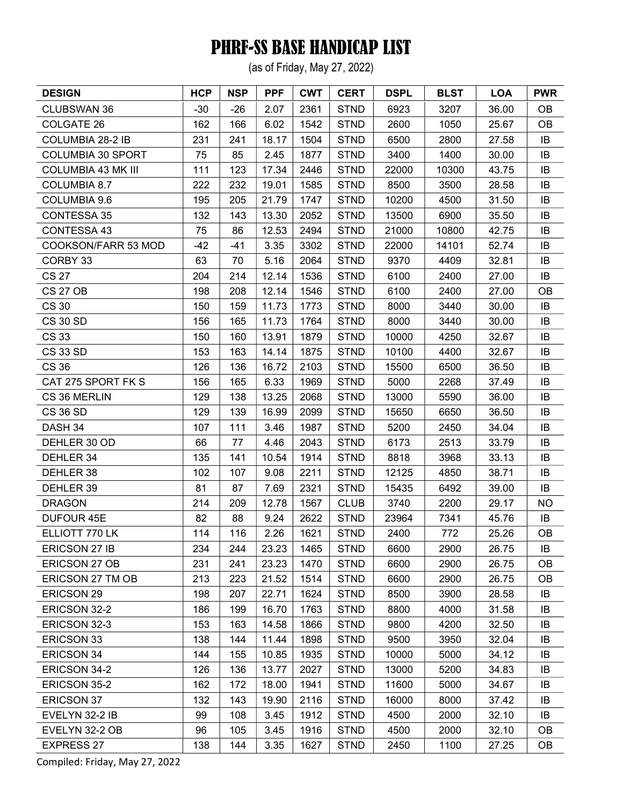(as of Friday, May 27, 2022)

| <b>DESIGN</b>             | <b>HCP</b> | <b>NSP</b> | <b>PPF</b> | <b>CWT</b> | <b>CERT</b> | <b>DSPL</b> | <b>BLST</b> | <b>LOA</b> | <b>PWR</b> |
|---------------------------|------------|------------|------------|------------|-------------|-------------|-------------|------------|------------|
| <b>CLUBSWAN 36</b>        | $-30$      | $-26$      | 2.07       | 2361       | <b>STND</b> | 6923        | 3207        | 36.00      | <b>OB</b>  |
| <b>COLGATE 26</b>         | 162        | 166        | 6.02       | 1542       | <b>STND</b> | 2600        | 1050        | 25.67      | <b>OB</b>  |
| COLUMBIA 28-2 IB          | 231        | 241        | 18.17      | 1504       | <b>STND</b> | 6500        | 2800        | 27.58      | IB         |
| <b>COLUMBIA 30 SPORT</b>  | 75         | 85         | 2.45       | 1877       | <b>STND</b> | 3400        | 1400        | 30.00      | IB         |
| <b>COLUMBIA 43 MK III</b> | 111        | 123        | 17.34      | 2446       | <b>STND</b> | 22000       | 10300       | 43.75      | IB         |
| COLUMBIA 8.7              | 222        | 232        | 19.01      | 1585       | <b>STND</b> | 8500        | 3500        | 28.58      | IB         |
| COLUMBIA 9.6              | 195        | 205        | 21.79      | 1747       | <b>STND</b> | 10200       | 4500        | 31.50      | IB         |
| <b>CONTESSA 35</b>        | 132        | 143        | 13.30      | 2052       | <b>STND</b> | 13500       | 6900        | 35.50      | IB         |
| CONTESSA 43               | 75         | 86         | 12.53      | 2494       | <b>STND</b> | 21000       | 10800       | 42.75      | IB         |
| COOKSON/FARR 53 MOD       | $-42$      | $-41$      | 3.35       | 3302       | <b>STND</b> | 22000       | 14101       | 52.74      | IB         |
| CORBY 33                  | 63         | 70         | 5.16       | 2064       | <b>STND</b> | 9370        | 4409        | 32.81      | IB         |
| <b>CS 27</b>              | 204        | 214        | 12.14      | 1536       | <b>STND</b> | 6100        | 2400        | 27.00      | IB         |
| <b>CS 27 OB</b>           | 198        | 208        | 12.14      | 1546       | <b>STND</b> | 6100        | 2400        | 27.00      | <b>OB</b>  |
| <b>CS 30</b>              | 150        | 159        | 11.73      | 1773       | <b>STND</b> | 8000        | 3440        | 30.00      | IB         |
| <b>CS 30 SD</b>           | 156        | 165        | 11.73      | 1764       | <b>STND</b> | 8000        | 3440        | 30.00      | IB         |
| <b>CS 33</b>              | 150        | 160        | 13.91      | 1879       | <b>STND</b> | 10000       | 4250        | 32.67      | IB         |
| <b>CS 33 SD</b>           | 153        | 163        | 14.14      | 1875       | <b>STND</b> | 10100       | 4400        | 32.67      | IB         |
| <b>CS 36</b>              | 126        | 136        | 16.72      | 2103       | <b>STND</b> | 15500       | 6500        | 36.50      | IB         |
| CAT 275 SPORT FK S        | 156        | 165        | 6.33       | 1969       | <b>STND</b> | 5000        | 2268        | 37.49      | IB         |
| CS 36 MERLIN              | 129        | 138        | 13.25      | 2068       | <b>STND</b> | 13000       | 5590        | 36.00      | IB         |
| <b>CS 36 SD</b>           | 129        | 139        | 16.99      | 2099       | <b>STND</b> | 15650       | 6650        | 36.50      | IB         |
| DASH 34                   | 107        | 111        | 3.46       | 1987       | <b>STND</b> | 5200        | 2450        | 34.04      | IB         |
| DEHLER 30 OD              | 66         | 77         | 4.46       | 2043       | <b>STND</b> | 6173        | 2513        | 33.79      | IB         |
| DEHLER 34                 | 135        | 141        | 10.54      | 1914       | <b>STND</b> | 8818        | 3968        | 33.13      | IB         |
| DEHLER 38                 | 102        | 107        | 9.08       | 2211       | <b>STND</b> | 12125       | 4850        | 38.71      | IB         |
| DEHLER 39                 | 81         | 87         | 7.69       | 2321       | <b>STND</b> | 15435       | 6492        | 39.00      | IB         |
| <b>DRAGON</b>             | 214        | 209        | 12.78      | 1567       | <b>CLUB</b> | 3740        | 2200        | 29.17      | <b>NO</b>  |
| <b>DUFOUR 45E</b>         | 82         | 88         | 9.24       | 2622       | <b>STND</b> | 23964       | 7341        | 45.76      | IB         |
| ELLIOTT 770 LK            | 114        | 116        | 2.26       | 1621       | <b>STND</b> | 2400        | 772         | 25.26      | <b>OB</b>  |
| <b>ERICSON 27 IB</b>      | 234        | 244        | 23.23      | 1465       | <b>STND</b> | 6600        | 2900        | 26.75      | IB         |
| ERICSON 27 OB             | 231        | 241        | 23.23      | 1470       | <b>STND</b> | 6600        | 2900        | 26.75      | OВ         |
| ERICSON 27 TM OB          | 213        | 223        | 21.52      | 1514       | <b>STND</b> | 6600        | 2900        | 26.75      | <b>OB</b>  |
| <b>ERICSON 29</b>         | 198        | 207        | 22.71      | 1624       | <b>STND</b> | 8500        | 3900        | 28.58      | IB         |
| ERICSON 32-2              | 186        | 199        | 16.70      | 1763       | <b>STND</b> | 8800        | 4000        | 31.58      | IB         |
| ERICSON 32-3              | 153        | 163        | 14.58      | 1866       | <b>STND</b> | 9800        | 4200        | 32.50      | IB         |
| <b>ERICSON 33</b>         | 138        | 144        | 11.44      | 1898       | <b>STND</b> | 9500        | 3950        | 32.04      | IB         |
| <b>ERICSON 34</b>         | 144        | 155        | 10.85      | 1935       | <b>STND</b> | 10000       | 5000        | 34.12      | IB         |
| ERICSON 34-2              | 126        | 136        | 13.77      | 2027       | <b>STND</b> | 13000       | 5200        | 34.83      | IB         |
| ERICSON 35-2              | 162        | 172        | 18.00      | 1941       | <b>STND</b> | 11600       | 5000        | 34.67      | IB         |
| <b>ERICSON 37</b>         | 132        | 143        | 19.90      | 2116       | <b>STND</b> | 16000       | 8000        | 37.42      | IB         |
| EVELYN 32-2 IB            | 99         | 108        | 3.45       | 1912       | <b>STND</b> | 4500        | 2000        | 32.10      | IB         |
| EVELYN 32-2 OB            | 96         | 105        | 3.45       | 1916       | <b>STND</b> | 4500        | 2000        | 32.10      | <b>OB</b>  |
| <b>EXPRESS 27</b>         | 138        | 144        | 3.35       | 1627       | <b>STND</b> | 2450        | 1100        | 27.25      | OB         |
|                           |            |            |            |            |             |             |             |            |            |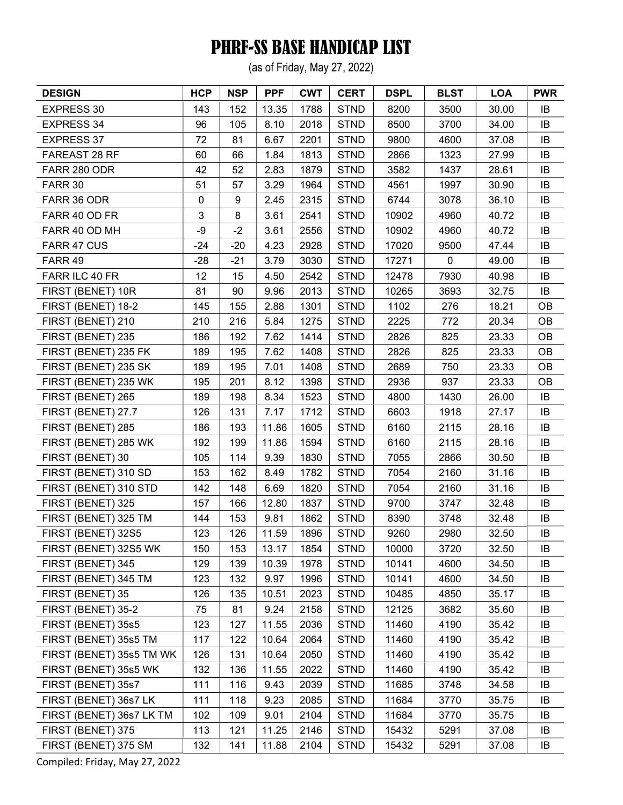(as of Friday, May 27, 2022)

| <b>DESIGN</b>            | <b>HCP</b>  | <b>NSP</b> | <b>PPF</b> | <b>CWT</b> | <b>CERT</b> | <b>DSPL</b> | <b>BLST</b> | <b>LOA</b> | <b>PWR</b> |
|--------------------------|-------------|------------|------------|------------|-------------|-------------|-------------|------------|------------|
| <b>EXPRESS 30</b>        | 143         | 152        | 13.35      | 1788       | <b>STND</b> | 8200        | 3500        | 30.00      | IB         |
| <b>EXPRESS 34</b>        | 96          | 105        | 8.10       | 2018       | <b>STND</b> | 8500        | 3700        | 34.00      | IB         |
| <b>EXPRESS 37</b>        | 72          | 81         | 6.67       | 2201       | <b>STND</b> | 9800        | 4600        | 37.08      | IB         |
| FAREAST 28 RF            | 60          | 66         | 1.84       | 1813       | <b>STND</b> | 2866        | 1323        | 27.99      | IB         |
| FARR 280 ODR             | 42          | 52         | 2.83       | 1879       | <b>STND</b> | 3582        | 1437        | 28.61      | IB         |
| FARR 30                  | 51          | 57         | 3.29       | 1964       | <b>STND</b> | 4561        | 1997        | 30.90      | IB         |
| FARR 36 ODR              | $\mathbf 0$ | 9          | 2.45       | 2315       | <b>STND</b> | 6744        | 3078        | 36.10      | IB         |
| FARR 40 OD FR            | 3           | 8          | 3.61       | 2541       | <b>STND</b> | 10902       | 4960        | 40.72      | IB         |
| FARR 40 OD MH            | -9          | $-2$       | 3.61       | 2556       | <b>STND</b> | 10902       | 4960        | 40.72      | IB         |
| FARR 47 CUS              | -24         | $-20$      | 4.23       | 2928       | <b>STND</b> | 17020       | 9500        | 47.44      | IB         |
| FARR 49                  | $-28$       | $-21$      | 3.79       | 3030       | <b>STND</b> | 17271       | $\mathbf 0$ | 49.00      | IB         |
| FARR ILC 40 FR           | 12          | 15         | 4.50       | 2542       | <b>STND</b> | 12478       | 7930        | 40.98      | IB         |
| FIRST (BENET) 10R        | 81          | 90         | 9.96       | 2013       | <b>STND</b> | 10265       | 3693        | 32.75      | IB         |
| FIRST (BENET) 18-2       | 145         | 155        | 2.88       | 1301       | <b>STND</b> | 1102        | 276         | 18.21      | OB         |
| FIRST (BENET) 210        | 210         | 216        | 5.84       | 1275       | <b>STND</b> | 2225        | 772         | 20.34      | OB         |
| FIRST (BENET) 235        | 186         | 192        | 7.62       | 1414       | <b>STND</b> | 2826        | 825         | 23.33      | OB         |
| FIRST (BENET) 235 FK     | 189         | 195        | 7.62       | 1408       | <b>STND</b> | 2826        | 825         | 23.33      | OB         |
| FIRST (BENET) 235 SK     | 189         | 195        | 7.01       | 1408       | <b>STND</b> | 2689        | 750         | 23.33      | <b>OB</b>  |
| FIRST (BENET) 235 WK     | 195         | 201        | 8.12       | 1398       | <b>STND</b> | 2936        | 937         | 23.33      | OB         |
| FIRST (BENET) 265        | 189         | 198        | 8.34       | 1523       | <b>STND</b> | 4800        | 1430        | 26.00      | IB         |
| FIRST (BENET) 27.7       | 126         | 131        | 7.17       | 1712       | <b>STND</b> | 6603        | 1918        | 27.17      | IB         |
| FIRST (BENET) 285        | 186         | 193        | 11.86      | 1605       | <b>STND</b> | 6160        | 2115        | 28.16      | IB         |
| FIRST (BENET) 285 WK     | 192         | 199        | 11.86      | 1594       | <b>STND</b> | 6160        | 2115        | 28.16      | IB         |
| FIRST (BENET) 30         | 105         | 114        | 9.39       | 1830       | <b>STND</b> | 7055        | 2866        | 30.50      | IB         |
| FIRST (BENET) 310 SD     | 153         | 162        | 8.49       | 1782       | <b>STND</b> | 7054        | 2160        | 31.16      | IB         |
| FIRST (BENET) 310 STD    | 142         | 148        | 6.69       | 1820       | <b>STND</b> | 7054        | 2160        | 31.16      | IB         |
| FIRST (BENET) 325        | 157         | 166        | 12.80      | 1837       | <b>STND</b> | 9700        | 3747        | 32.48      | IB         |
| FIRST (BENET) 325 TM     | 144         | 153        | 9.81       | 1862       | <b>STND</b> | 8390        | 3748        | 32.48      | IB         |
| FIRST (BENET) 32S5       | 123         | 126        | 11.59      | 1896       | <b>STND</b> | 9260        | 2980        | 32.50      | IB         |
| FIRST (BENET) 32S5 WK    | 150         | 153        | 13.17      | 1854       | <b>STND</b> | 10000       | 3720        | 32.50      | IB         |
| FIRST (BENET) 345        | 129         | 139        | 10.39      | 1978       | <b>STND</b> | 10141       | 4600        | 34.50      | IB         |
| FIRST (BENET) 345 TM     | 123         | 132        | 9.97       | 1996       | <b>STND</b> | 10141       | 4600        | 34.50      | IB         |
| FIRST (BENET) 35         | 126         | 135        | 10.51      | 2023       | <b>STND</b> | 10485       | 4850        | 35.17      | IB         |
| FIRST (BENET) 35-2       | 75          | 81         | 9.24       | 2158       | <b>STND</b> | 12125       | 3682        | 35.60      | IB         |
| FIRST (BENET) 35s5       | 123         | 127        | 11.55      | 2036       | <b>STND</b> | 11460       | 4190        | 35.42      | IB         |
| FIRST (BENET) 35s5 TM    | 117         | 122        | 10.64      | 2064       | <b>STND</b> | 11460       | 4190        | 35.42      | IB         |
| FIRST (BENET) 35s5 TM WK | 126         | 131        | 10.64      | 2050       | <b>STND</b> | 11460       | 4190        | 35.42      | IB         |
| FIRST (BENET) 35s5 WK    | 132         | 136        | 11.55      | 2022       | <b>STND</b> | 11460       | 4190        | 35.42      | IB         |
| FIRST (BENET) 35s7       | 111         | 116        | 9.43       | 2039       | <b>STND</b> | 11685       | 3748        | 34.58      | IB         |
| FIRST (BENET) 36s7 LK    | 111         | 118        | 9.23       | 2085       | <b>STND</b> | 11684       | 3770        | 35.75      | IB         |
| FIRST (BENET) 36s7 LK TM | 102         | 109        | 9.01       | 2104       | <b>STND</b> | 11684       | 3770        | 35.75      | IB         |
| FIRST (BENET) 375        | 113         | 121        | 11.25      | 2146       | <b>STND</b> | 15432       | 5291        | 37.08      | IB         |
| FIRST (BENET) 375 SM     | 132         | 141        | 11.88      | 2104       | <b>STND</b> | 15432       | 5291        | 37.08      | IB         |
|                          |             |            |            |            |             |             |             |            |            |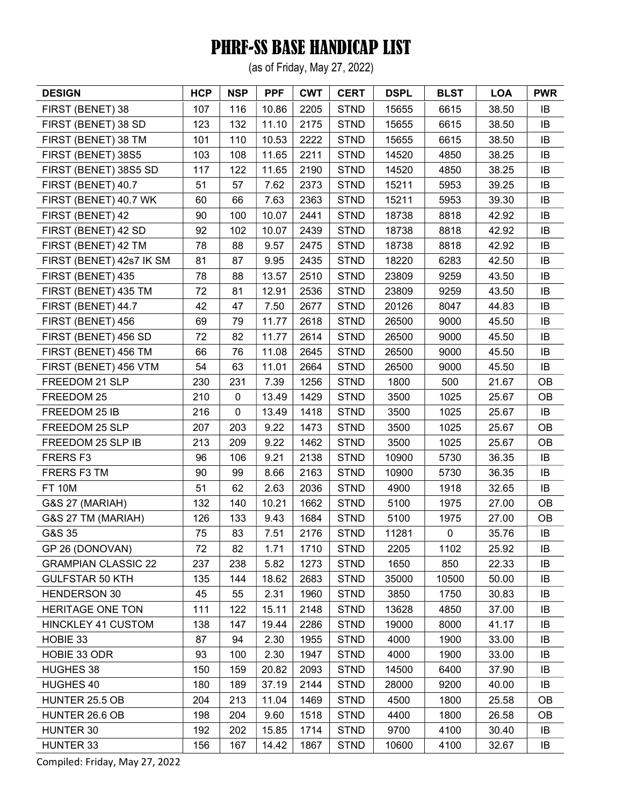(as of Friday, May 27, 2022)

| <b>DESIGN</b>              | <b>HCP</b> | <b>NSP</b> | <b>PPF</b> | <b>CWT</b> | <b>CERT</b> | <b>DSPL</b> | <b>BLST</b> | <b>LOA</b> | <b>PWR</b> |
|----------------------------|------------|------------|------------|------------|-------------|-------------|-------------|------------|------------|
| FIRST (BENET) 38           | 107        | 116        | 10.86      | 2205       | <b>STND</b> | 15655       | 6615        | 38.50      | IB         |
| FIRST (BENET) 38 SD        | 123        | 132        | 11.10      | 2175       | <b>STND</b> | 15655       | 6615        | 38.50      | IB         |
| FIRST (BENET) 38 TM        | 101        | 110        | 10.53      | 2222       | <b>STND</b> | 15655       | 6615        | 38.50      | IB         |
| FIRST (BENET) 38S5         | 103        | 108        | 11.65      | 2211       | <b>STND</b> | 14520       | 4850        | 38.25      | IB         |
| FIRST (BENET) 38S5 SD      | 117        | 122        | 11.65      | 2190       | <b>STND</b> | 14520       | 4850        | 38.25      | IB         |
| FIRST (BENET) 40.7         | 51         | 57         | 7.62       | 2373       | <b>STND</b> | 15211       | 5953        | 39.25      | IB         |
| FIRST (BENET) 40.7 WK      | 60         | 66         | 7.63       | 2363       | <b>STND</b> | 15211       | 5953        | 39.30      | IB         |
| FIRST (BENET) 42           | 90         | 100        | 10.07      | 2441       | <b>STND</b> | 18738       | 8818        | 42.92      | IB         |
| FIRST (BENET) 42 SD        | 92         | 102        | 10.07      | 2439       | <b>STND</b> | 18738       | 8818        | 42.92      | IB         |
| FIRST (BENET) 42 TM        | 78         | 88         | 9.57       | 2475       | <b>STND</b> | 18738       | 8818        | 42.92      | IB         |
| FIRST (BENET) 42s7 IK SM   | 81         | 87         | 9.95       | 2435       | <b>STND</b> | 18220       | 6283        | 42.50      | IB         |
| FIRST (BENET) 435          | 78         | 88         | 13.57      | 2510       | <b>STND</b> | 23809       | 9259        | 43.50      | IB         |
| FIRST (BENET) 435 TM       | 72         | 81         | 12.91      | 2536       | <b>STND</b> | 23809       | 9259        | 43.50      | IB         |
| FIRST (BENET) 44.7         | 42         | 47         | 7.50       | 2677       | <b>STND</b> | 20126       | 8047        | 44.83      | IB         |
| FIRST (BENET) 456          | 69         | 79         | 11.77      | 2618       | <b>STND</b> | 26500       | 9000        | 45.50      | IB         |
| FIRST (BENET) 456 SD       | 72         | 82         | 11.77      | 2614       | <b>STND</b> | 26500       | 9000        | 45.50      | IB         |
| FIRST (BENET) 456 TM       | 66         | 76         | 11.08      | 2645       | <b>STND</b> | 26500       | 9000        | 45.50      | IB         |
| FIRST (BENET) 456 VTM      | 54         | 63         | 11.01      | 2664       | <b>STND</b> | 26500       | 9000        | 45.50      | IB         |
| FREEDOM 21 SLP             | 230        | 231        | 7.39       | 1256       | <b>STND</b> | 1800        | 500         | 21.67      | OB         |
| FREEDOM 25                 | 210        | 0          | 13.49      | 1429       | <b>STND</b> | 3500        | 1025        | 25.67      | <b>OB</b>  |
| FREEDOM 25 IB              | 216        | 0          | 13.49      | 1418       | <b>STND</b> | 3500        | 1025        | 25.67      | IB         |
| FREEDOM 25 SLP             | 207        | 203        | 9.22       | 1473       | <b>STND</b> | 3500        | 1025        | 25.67      | <b>OB</b>  |
| FREEDOM 25 SLP IB          | 213        | 209        | 9.22       | 1462       | <b>STND</b> | 3500        | 1025        | 25.67      | OB         |
| FRERS <sub>F3</sub>        | 96         | 106        | 9.21       | 2138       | <b>STND</b> | 10900       | 5730        | 36.35      | IB         |
| FRERS F3 TM                | 90         | 99         | 8.66       | 2163       | <b>STND</b> | 10900       | 5730        | 36.35      | IB         |
| <b>FT 10M</b>              | 51         | 62         | 2.63       | 2036       | <b>STND</b> | 4900        | 1918        | 32.65      | IB         |
| G&S 27 (MARIAH)            | 132        | 140        | 10.21      | 1662       | <b>STND</b> | 5100        | 1975        | 27.00      | <b>OB</b>  |
| G&S 27 TM (MARIAH)         | 126        | 133        | 9.43       | 1684       | <b>STND</b> | 5100        | 1975        | 27.00      | OB         |
| G&S 35                     | 75         | 83         | 7.51       | 2176       | <b>STND</b> | 11281       | $\pmb{0}$   | 35.76      | IB         |
| GP 26 (DONOVAN)            | 72         | 82         | 1.71       | 1710       | <b>STND</b> | 2205        | 1102        | 25.92      | IB         |
| <b>GRAMPIAN CLASSIC 22</b> | 237        | 238        | 5.82       | 1273       | <b>STND</b> | 1650        | 850         | 22.33      | IB         |
| <b>GULFSTAR 50 KTH</b>     | 135        | 144        | 18.62      | 2683       | <b>STND</b> | 35000       | 10500       | 50.00      | IB         |
| <b>HENDERSON 30</b>        | 45         | 55         | 2.31       | 1960       | <b>STND</b> | 3850        | 1750        | 30.83      | IB         |
| <b>HERITAGE ONE TON</b>    | 111        | 122        | 15.11      | 2148       | <b>STND</b> | 13628       | 4850        | 37.00      | IB         |
| <b>HINCKLEY 41 CUSTOM</b>  | 138        | 147        | 19.44      | 2286       | <b>STND</b> | 19000       | 8000        | 41.17      | IB         |
| HOBIE 33                   | 87         | 94         | 2.30       | 1955       | <b>STND</b> | 4000        | 1900        | 33.00      | IB         |
| HOBIE 33 ODR               | 93         | 100        | 2.30       | 1947       | <b>STND</b> | 4000        | 1900        | 33.00      | IB         |
| <b>HUGHES 38</b>           | 150        | 159        | 20.82      | 2093       | <b>STND</b> | 14500       | 6400        | 37.90      | IB         |
| HUGHES 40                  | 180        | 189        | 37.19      | 2144       | <b>STND</b> | 28000       | 9200        | 40.00      | IB         |
| HUNTER 25.5 OB             | 204        | 213        | 11.04      | 1469       | <b>STND</b> | 4500        | 1800        | 25.58      | <b>OB</b>  |
| HUNTER 26.6 OB             | 198        | 204        | 9.60       | 1518       | <b>STND</b> | 4400        | 1800        | 26.58      | OВ         |
| HUNTER 30                  | 192        | 202        | 15.85      | 1714       | <b>STND</b> | 9700        | 4100        | 30.40      | IB         |
| HUNTER 33                  | 156        | 167        | 14.42      | 1867       | <b>STND</b> | 10600       | 4100        | 32.67      | IB         |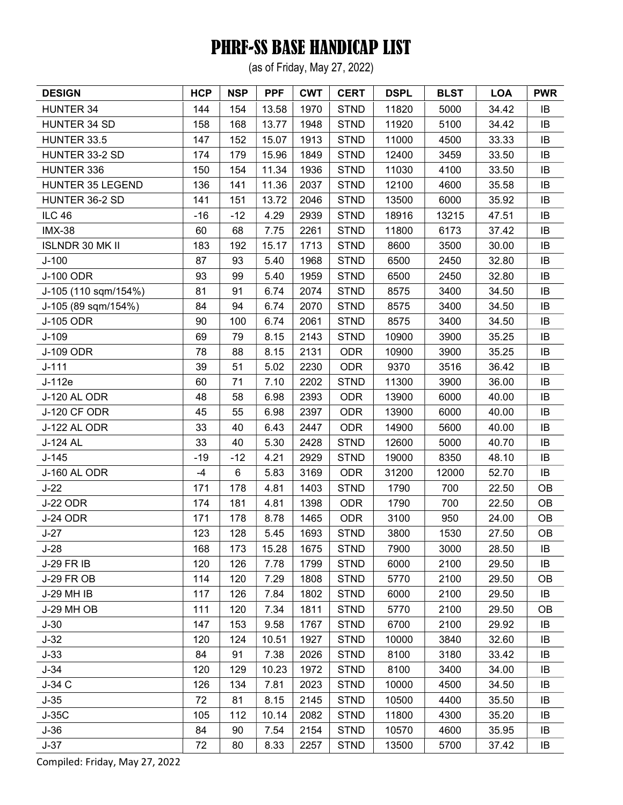(as of Friday, May 27, 2022)

| <b>DESIGN</b>           | <b>HCP</b> | <b>NSP</b> | <b>PPF</b> | <b>CWT</b> | <b>CERT</b> | <b>DSPL</b> | <b>BLST</b> | <b>LOA</b> | <b>PWR</b> |
|-------------------------|------------|------------|------------|------------|-------------|-------------|-------------|------------|------------|
| HUNTER 34               | 144        | 154        | 13.58      | 1970       | <b>STND</b> | 11820       | 5000        | 34.42      | IB         |
| HUNTER 34 SD            | 158        | 168        | 13.77      | 1948       | <b>STND</b> | 11920       | 5100        | 34.42      | IB         |
| HUNTER 33.5             | 147        | 152        | 15.07      | 1913       | <b>STND</b> | 11000       | 4500        | 33.33      | IB         |
| HUNTER 33-2 SD          | 174        | 179        | 15.96      | 1849       | <b>STND</b> | 12400       | 3459        | 33.50      | IB         |
| HUNTER 336              | 150        | 154        | 11.34      | 1936       | <b>STND</b> | 11030       | 4100        | 33.50      | IB         |
| <b>HUNTER 35 LEGEND</b> | 136        | 141        | 11.36      | 2037       | <b>STND</b> | 12100       | 4600        | 35.58      | IB         |
| HUNTER 36-2 SD          | 141        | 151        | 13.72      | 2046       | <b>STND</b> | 13500       | 6000        | 35.92      | IB         |
| <b>ILC 46</b>           | $-16$      | $-12$      | 4.29       | 2939       | <b>STND</b> | 18916       | 13215       | 47.51      | IB         |
| <b>IMX-38</b>           | 60         | 68         | 7.75       | 2261       | <b>STND</b> | 11800       | 6173        | 37.42      | IB         |
| <b>ISLNDR 30 MK II</b>  | 183        | 192        | 15.17      | 1713       | <b>STND</b> | 8600        | 3500        | 30.00      | IB         |
| $J-100$                 | 87         | 93         | 5.40       | 1968       | <b>STND</b> | 6500        | 2450        | 32.80      | IB         |
| <b>J-100 ODR</b>        | 93         | 99         | 5.40       | 1959       | <b>STND</b> | 6500        | 2450        | 32.80      | IB         |
| J-105 (110 sqm/154%)    | 81         | 91         | 6.74       | 2074       | <b>STND</b> | 8575        | 3400        | 34.50      | IB         |
| J-105 (89 sqm/154%)     | 84         | 94         | 6.74       | 2070       | <b>STND</b> | 8575        | 3400        | 34.50      | IB         |
| J-105 ODR               | 90         | 100        | 6.74       | 2061       | <b>STND</b> | 8575        | 3400        | 34.50      | IB         |
| $J-109$                 | 69         | 79         | 8.15       | 2143       | <b>STND</b> | 10900       | 3900        | 35.25      | IB         |
| J-109 ODR               | 78         | 88         | 8.15       | 2131       | <b>ODR</b>  | 10900       | 3900        | 35.25      | IB         |
| $J-111$                 | 39         | 51         | 5.02       | 2230       | <b>ODR</b>  | 9370        | 3516        | 36.42      | IB         |
| J-112e                  | 60         | 71         | 7.10       | 2202       | <b>STND</b> | 11300       | 3900        | 36.00      | IB         |
| <b>J-120 AL ODR</b>     | 48         | 58         | 6.98       | 2393       | <b>ODR</b>  | 13900       | 6000        | 40.00      | IB         |
| <b>J-120 CF ODR</b>     | 45         | 55         | 6.98       | 2397       | <b>ODR</b>  | 13900       | 6000        | 40.00      | IB         |
| J-122 AL ODR            | 33         | 40         | 6.43       | 2447       | <b>ODR</b>  | 14900       | 5600        | 40.00      | IB         |
| J-124 AL                | 33         | 40         | 5.30       | 2428       | <b>STND</b> | 12600       | 5000        | 40.70      | IB         |
| $J-145$                 | $-19$      | $-12$      | 4.21       | 2929       | <b>STND</b> | 19000       | 8350        | 48.10      | IB         |
| J-160 AL ODR            | $-4$       | 6          | 5.83       | 3169       | <b>ODR</b>  | 31200       | 12000       | 52.70      | IB         |
| $J-22$                  | 171        | 178        | 4.81       | 1403       | <b>STND</b> | 1790        | 700         | 22.50      | OB         |
| <b>J-22 ODR</b>         | 174        | 181        | 4.81       | 1398       | <b>ODR</b>  | 1790        | 700         | 22.50      | OB         |
| <b>J-24 ODR</b>         | 171        | 178        | 8.78       | 1465       | <b>ODR</b>  | 3100        | 950         | 24.00      | OB         |
| $J-27$                  | 123        | 128        | 5.45       | 1693       | <b>STND</b> | 3800        | 1530        | 27.50      | <b>OB</b>  |
| $J-28$                  | 168        | 173        | 15.28      | 1675       | <b>STND</b> | 7900        | 3000        | 28.50      | IB         |
| <b>J-29 FR IB</b>       | 120        | 126        | 7.78       | 1799       | <b>STND</b> | 6000        | 2100        | 29.50      | IB         |
| <b>J-29 FR OB</b>       | 114        | 120        | 7.29       | 1808       | <b>STND</b> | 5770        | 2100        | 29.50      | <b>OB</b>  |
| J-29 MH IB              | 117        | 126        | 7.84       | 1802       | <b>STND</b> | 6000        | 2100        | 29.50      | IB         |
| J-29 MH OB              | 111        | 120        | 7.34       | 1811       | <b>STND</b> | 5770        | 2100        | 29.50      | <b>OB</b>  |
| $J-30$                  | 147        | 153        | 9.58       | 1767       | <b>STND</b> | 6700        | 2100        | 29.92      | IB         |
| $J-32$                  | 120        | 124        | 10.51      | 1927       | <b>STND</b> | 10000       | 3840        | 32.60      | IB         |
| $J-33$                  | 84         | 91         | 7.38       | 2026       | <b>STND</b> | 8100        | 3180        | 33.42      | IB         |
| $J-34$                  | 120        | 129        | 10.23      | 1972       | <b>STND</b> | 8100        | 3400        | 34.00      | IB         |
| J-34 C                  | 126        | 134        | 7.81       | 2023       | <b>STND</b> | 10000       | 4500        | 34.50      | IB         |
| $J-35$                  | 72         | 81         | 8.15       | 2145       | <b>STND</b> | 10500       | 4400        | 35.50      | IB         |
| $J-35C$                 | 105        | 112        | 10.14      | 2082       | <b>STND</b> | 11800       | 4300        | 35.20      | IB         |
| $J-36$                  | 84         | 90         | 7.54       | 2154       | <b>STND</b> | 10570       | 4600        | 35.95      | IB         |
| $J-37$                  | 72         | 80         | 8.33       | 2257       | <b>STND</b> | 13500       | 5700        | 37.42      | IB         |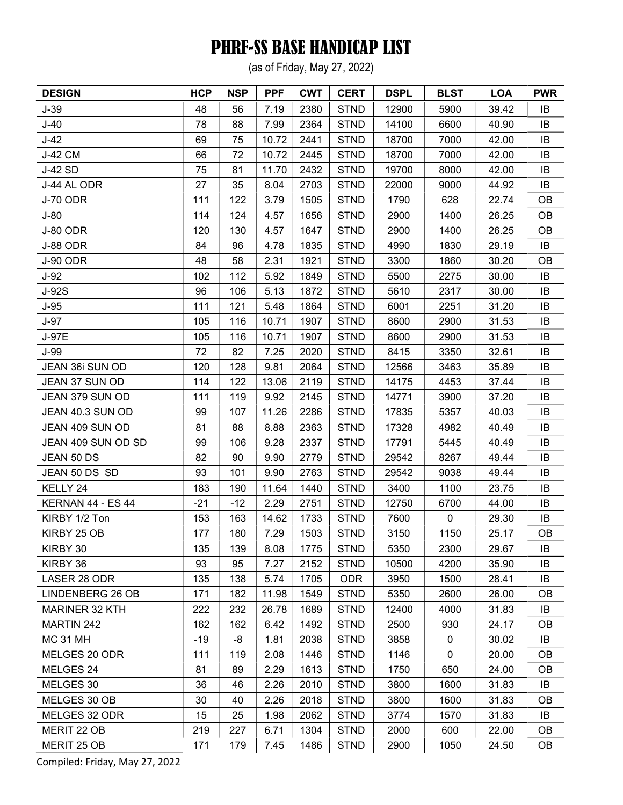(as of Friday, May 27, 2022)

| <b>DESIGN</b>         | <b>HCP</b> | <b>NSP</b> | <b>PPF</b> | <b>CWT</b> | <b>CERT</b> | <b>DSPL</b> | <b>BLST</b> | <b>LOA</b> | <b>PWR</b> |
|-----------------------|------------|------------|------------|------------|-------------|-------------|-------------|------------|------------|
| $J-39$                | 48         | 56         | 7.19       | 2380       | <b>STND</b> | 12900       | 5900        | 39.42      | IB         |
| $J-40$                | 78         | 88         | 7.99       | 2364       | <b>STND</b> | 14100       | 6600        | 40.90      | IB         |
| $J-42$                | 69         | 75         | 10.72      | 2441       | <b>STND</b> | 18700       | 7000        | 42.00      | IB         |
| J-42 CM               | 66         | 72         | 10.72      | 2445       | <b>STND</b> | 18700       | 7000        | 42.00      | IB         |
| <b>J-42 SD</b>        | 75         | 81         | 11.70      | 2432       | <b>STND</b> | 19700       | 8000        | 42.00      | IB         |
| J-44 AL ODR           | 27         | 35         | 8.04       | 2703       | <b>STND</b> | 22000       | 9000        | 44.92      | IB         |
| <b>J-70 ODR</b>       | 111        | 122        | 3.79       | 1505       | <b>STND</b> | 1790        | 628         | 22.74      | <b>OB</b>  |
| $J-80$                | 114        | 124        | 4.57       | 1656       | <b>STND</b> | 2900        | 1400        | 26.25      | <b>OB</b>  |
| <b>J-80 ODR</b>       | 120        | 130        | 4.57       | 1647       | <b>STND</b> | 2900        | 1400        | 26.25      | OB         |
| <b>J-88 ODR</b>       | 84         | 96         | 4.78       | 1835       | <b>STND</b> | 4990        | 1830        | 29.19      | IB         |
| J-90 ODR              | 48         | 58         | 2.31       | 1921       | <b>STND</b> | 3300        | 1860        | 30.20      | <b>OB</b>  |
| $J-92$                | 102        | 112        | 5.92       | 1849       | <b>STND</b> | 5500        | 2275        | 30.00      | IB         |
| J-92S                 | 96         | 106        | 5.13       | 1872       | <b>STND</b> | 5610        | 2317        | 30.00      | IB         |
| $J-95$                | 111        | 121        | 5.48       | 1864       | <b>STND</b> | 6001        | 2251        | 31.20      | IB         |
| $J-97$                | 105        | 116        | 10.71      | 1907       | <b>STND</b> | 8600        | 2900        | 31.53      | IB         |
| J-97E                 | 105        | 116        | 10.71      | 1907       | <b>STND</b> | 8600        | 2900        | 31.53      | IB         |
| $J-99$                | 72         | 82         | 7.25       | 2020       | <b>STND</b> | 8415        | 3350        | 32.61      | IB         |
| JEAN 36i SUN OD       | 120        | 128        | 9.81       | 2064       | <b>STND</b> | 12566       | 3463        | 35.89      | IB         |
| JEAN 37 SUN OD        | 114        | 122        | 13.06      | 2119       | <b>STND</b> | 14175       | 4453        | 37.44      | IB         |
| JEAN 379 SUN OD       | 111        | 119        | 9.92       | 2145       | <b>STND</b> | 14771       | 3900        | 37.20      | IB         |
| JEAN 40.3 SUN OD      | 99         | 107        | 11.26      | 2286       | <b>STND</b> | 17835       | 5357        | 40.03      | IB         |
| JEAN 409 SUN OD       | 81         | 88         | 8.88       | 2363       | <b>STND</b> | 17328       | 4982        | 40.49      | IB         |
| JEAN 409 SUN OD SD    | 99         | 106        | 9.28       | 2337       | <b>STND</b> | 17791       | 5445        | 40.49      | IB         |
| JEAN 50 DS            | 82         | 90         | 9.90       | 2779       | <b>STND</b> | 29542       | 8267        | 49.44      | IB         |
| JEAN 50 DS SD         | 93         | 101        | 9.90       | 2763       | <b>STND</b> | 29542       | 9038        | 49.44      | IB         |
| KELLY 24              | 183        | 190        | 11.64      | 1440       | <b>STND</b> | 3400        | 1100        | 23.75      | IB         |
| KERNAN 44 - ES 44     | $-21$      | $-12$      | 2.29       | 2751       | <b>STND</b> | 12750       | 6700        | 44.00      | IB         |
| KIRBY 1/2 Ton         | 153        | 163        | 14.62      | 1733       | <b>STND</b> | 7600        | $\pmb{0}$   | 29.30      | IB         |
| KIRBY 25 OB           | 177        | 180        | 7.29       | 1503       | <b>STND</b> | 3150        | 1150        | 25.17      | OB         |
| KIRBY 30              | 135        | 139        | 8.08       | 1775       | <b>STND</b> | 5350        | 2300        | 29.67      | IB         |
| KIRBY 36              | 93         | 95         | 7.27       | 2152       | <b>STND</b> | 10500       | 4200        | 35.90      | IB         |
| LASER 28 ODR          | 135        | 138        | 5.74       | 1705       | <b>ODR</b>  | 3950        | 1500        | 28.41      | IB         |
| LINDENBERG 26 OB      | 171        | 182        | 11.98      | 1549       | <b>STND</b> | 5350        | 2600        | 26.00      | OВ         |
| <b>MARINER 32 KTH</b> | 222        | 232        | 26.78      | 1689       | <b>STND</b> | 12400       | 4000        | 31.83      | IB         |
| <b>MARTIN 242</b>     | 162        | 162        | 6.42       | 1492       | <b>STND</b> | 2500        | 930         | 24.17      | 0B         |
| <b>MC 31 MH</b>       | $-19$      | -8         | 1.81       | 2038       | <b>STND</b> | 3858        | 0           | 30.02      | IB         |
| MELGES 20 ODR         | 111        | 119        | 2.08       | 1446       | <b>STND</b> | 1146        | 0           | 20.00      | OВ         |
| MELGES 24             | 81         | 89         | 2.29       | 1613       | <b>STND</b> | 1750        | 650         | 24.00      | <b>OB</b>  |
| MELGES 30             | 36         | 46         | 2.26       | 2010       | <b>STND</b> | 3800        | 1600        | 31.83      | IB         |
| MELGES 30 OB          | 30         | 40         | 2.26       | 2018       | <b>STND</b> | 3800        | 1600        | 31.83      | OВ         |
| MELGES 32 ODR         | 15         | 25         | 1.98       | 2062       | <b>STND</b> | 3774        | 1570        | 31.83      | IB         |
| MERIT 22 OB           | 219        | 227        | 6.71       | 1304       | <b>STND</b> | 2000        | 600         | 22.00      | <b>OB</b>  |
| MERIT 25 OB           | 171        | 179        | 7.45       | 1486       | <b>STND</b> | 2900        | 1050        | 24.50      | OB         |
|                       |            |            |            |            |             |             |             |            |            |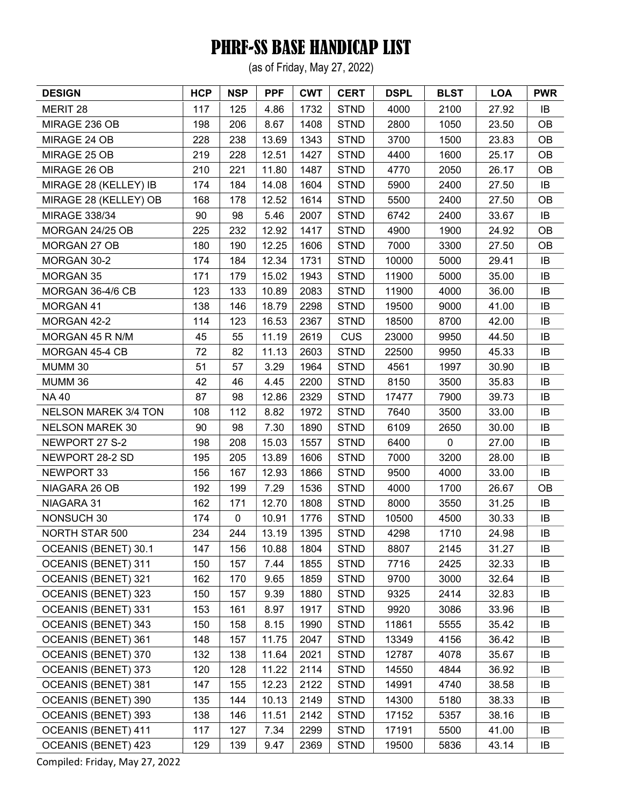(as of Friday, May 27, 2022)

| <b>DESIGN</b>               | <b>HCP</b> | <b>NSP</b>  | <b>PPF</b> | <b>CWT</b> | <b>CERT</b> | <b>DSPL</b> | <b>BLST</b> | <b>LOA</b> | <b>PWR</b> |
|-----------------------------|------------|-------------|------------|------------|-------------|-------------|-------------|------------|------------|
| MERIT 28                    | 117        | 125         | 4.86       | 1732       | <b>STND</b> | 4000        | 2100        | 27.92      | IB         |
| MIRAGE 236 OB               | 198        | 206         | 8.67       | 1408       | <b>STND</b> | 2800        | 1050        | 23.50      | <b>OB</b>  |
| MIRAGE 24 OB                | 228        | 238         | 13.69      | 1343       | <b>STND</b> | 3700        | 1500        | 23.83      | OB         |
| MIRAGE 25 OB                | 219        | 228         | 12.51      | 1427       | <b>STND</b> | 4400        | 1600        | 25.17      | <b>OB</b>  |
| MIRAGE 26 OB                | 210        | 221         | 11.80      | 1487       | <b>STND</b> | 4770        | 2050        | 26.17      | OB         |
| MIRAGE 28 (KELLEY) IB       | 174        | 184         | 14.08      | 1604       | <b>STND</b> | 5900        | 2400        | 27.50      | IB         |
| MIRAGE 28 (KELLEY) OB       | 168        | 178         | 12.52      | 1614       | <b>STND</b> | 5500        | 2400        | 27.50      | <b>OB</b>  |
| <b>MIRAGE 338/34</b>        | 90         | 98          | 5.46       | 2007       | <b>STND</b> | 6742        | 2400        | 33.67      | IB         |
| MORGAN 24/25 OB             | 225        | 232         | 12.92      | 1417       | <b>STND</b> | 4900        | 1900        | 24.92      | OB         |
| MORGAN 27 OB                | 180        | 190         | 12.25      | 1606       | <b>STND</b> | 7000        | 3300        | 27.50      | <b>OB</b>  |
| MORGAN 30-2                 | 174        | 184         | 12.34      | 1731       | <b>STND</b> | 10000       | 5000        | 29.41      | IB         |
| <b>MORGAN 35</b>            | 171        | 179         | 15.02      | 1943       | <b>STND</b> | 11900       | 5000        | 35.00      | IB         |
| MORGAN 36-4/6 CB            | 123        | 133         | 10.89      | 2083       | <b>STND</b> | 11900       | 4000        | 36.00      | IB         |
| MORGAN 41                   | 138        | 146         | 18.79      | 2298       | <b>STND</b> | 19500       | 9000        | 41.00      | IB         |
| MORGAN 42-2                 | 114        | 123         | 16.53      | 2367       | <b>STND</b> | 18500       | 8700        | 42.00      | IB         |
| MORGAN 45 R N/M             | 45         | 55          | 11.19      | 2619       | <b>CUS</b>  | 23000       | 9950        | 44.50      | IB         |
| MORGAN 45-4 CB              | 72         | 82          | 11.13      | 2603       | <b>STND</b> | 22500       | 9950        | 45.33      | IB         |
| MUMM 30                     | 51         | 57          | 3.29       | 1964       | <b>STND</b> | 4561        | 1997        | 30.90      | IB         |
| MUMM 36                     | 42         | 46          | 4.45       | 2200       | <b>STND</b> | 8150        | 3500        | 35.83      | IB         |
| <b>NA 40</b>                | 87         | 98          | 12.86      | 2329       | <b>STND</b> | 17477       | 7900        | 39.73      | IB         |
| <b>NELSON MAREK 3/4 TON</b> | 108        | 112         | 8.82       | 1972       | <b>STND</b> | 7640        | 3500        | 33.00      | IB         |
| <b>NELSON MAREK 30</b>      | 90         | 98          | 7.30       | 1890       | <b>STND</b> | 6109        | 2650        | 30.00      | IB         |
| NEWPORT 27 S-2              | 198        | 208         | 15.03      | 1557       | <b>STND</b> | 6400        | $\mathbf 0$ | 27.00      | IB         |
| NEWPORT 28-2 SD             | 195        | 205         | 13.89      | 1606       | <b>STND</b> | 7000        | 3200        | 28.00      | IB         |
| NEWPORT 33                  | 156        | 167         | 12.93      | 1866       | <b>STND</b> | 9500        | 4000        | 33.00      | IB         |
| NIAGARA 26 OB               | 192        | 199         | 7.29       | 1536       | <b>STND</b> | 4000        | 1700        | 26.67      | <b>OB</b>  |
| NIAGARA 31                  | 162        | 171         | 12.70      | 1808       | <b>STND</b> | 8000        | 3550        | 31.25      | IB         |
| <b>NONSUCH 30</b>           | 174        | $\mathbf 0$ | 10.91      | 1776       | <b>STND</b> | 10500       | 4500        | 30.33      | IB         |
| <b>NORTH STAR 500</b>       | 234        | 244         | 13.19      | 1395       | <b>STND</b> | 4298        | 1710        | 24.98      | IB         |
| OCEANIS (BENET) 30.1        | 147        | 156         | 10.88      | 1804       | <b>STND</b> | 8807        | 2145        | 31.27      | IB         |
| OCEANIS (BENET) 311         | 150        | 157         | 7.44       | 1855       | <b>STND</b> | 7716        | 2425        | 32.33      | IB         |
| OCEANIS (BENET) 321         | 162        | 170         | 9.65       | 1859       | <b>STND</b> | 9700        | 3000        | 32.64      | IB         |
| OCEANIS (BENET) 323         | 150        | 157         | 9.39       | 1880       | <b>STND</b> | 9325        | 2414        | 32.83      | IB         |
| OCEANIS (BENET) 331         | 153        | 161         | 8.97       | 1917       | <b>STND</b> | 9920        | 3086        | 33.96      | IB         |
| OCEANIS (BENET) 343         | 150        | 158         | 8.15       | 1990       | <b>STND</b> | 11861       | 5555        | 35.42      | IB         |
| OCEANIS (BENET) 361         | 148        | 157         | 11.75      | 2047       | <b>STND</b> | 13349       | 4156        | 36.42      | IB         |
| OCEANIS (BENET) 370         | 132        | 138         | 11.64      | 2021       | <b>STND</b> | 12787       | 4078        | 35.67      | IB         |
| <b>OCEANIS (BENET) 373</b>  | 120        | 128         | 11.22      | 2114       | <b>STND</b> | 14550       | 4844        | 36.92      | IB         |
| OCEANIS (BENET) 381         | 147        | 155         | 12.23      | 2122       | <b>STND</b> | 14991       | 4740        | 38.58      | IB         |
| <b>OCEANIS (BENET) 390</b>  | 135        | 144         | 10.13      | 2149       | <b>STND</b> | 14300       | 5180        | 38.33      | IB         |
| OCEANIS (BENET) 393         | 138        | 146         | 11.51      | 2142       | <b>STND</b> | 17152       | 5357        | 38.16      | IB         |
| OCEANIS (BENET) 411         | 117        | 127         | 7.34       | 2299       | <b>STND</b> | 17191       | 5500        | 41.00      | IB         |
| OCEANIS (BENET) 423         | 129        | 139         | 9.47       | 2369       | <b>STND</b> | 19500       | 5836        | 43.14      | IB         |
|                             |            |             |            |            |             |             |             |            |            |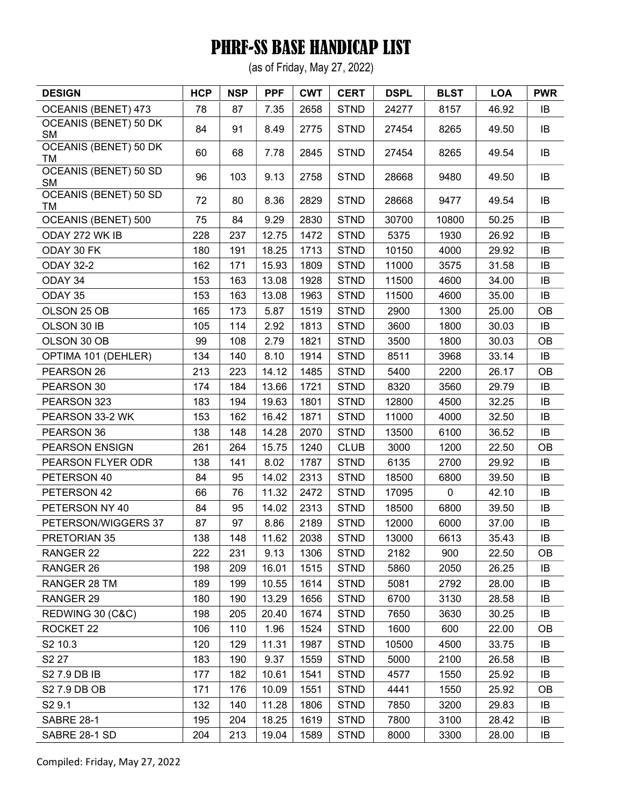(as of Friday, May 27, 2022)

| <b>DESIGN</b>                             | <b>HCP</b> | <b>NSP</b> | <b>PPF</b> | <b>CWT</b> | <b>CERT</b> | <b>DSPL</b> | <b>BLST</b> | <b>LOA</b> | <b>PWR</b> |
|-------------------------------------------|------------|------------|------------|------------|-------------|-------------|-------------|------------|------------|
| OCEANIS (BENET) 473                       | 78         | 87         | 7.35       | 2658       | <b>STND</b> | 24277       | 8157        | 46.92      | IB         |
| OCEANIS (BENET) 50 DK<br><b>SM</b>        | 84         | 91         | 8.49       | 2775       | <b>STND</b> | 27454       | 8265        | 49.50      | IB         |
| <b>OCEANIS (BENET) 50 DK</b><br>TM        | 60         | 68         | 7.78       | 2845       | <b>STND</b> | 27454       | 8265        | 49.54      | IB         |
| <b>OCEANIS (BENET) 50 SD</b><br><b>SM</b> | 96         | 103        | 9.13       | 2758       | <b>STND</b> | 28668       | 9480        | 49.50      | IB         |
| <b>OCEANIS (BENET) 50 SD</b><br>TM        | 72         | 80         | 8.36       | 2829       | <b>STND</b> | 28668       | 9477        | 49.54      | IB         |
| OCEANIS (BENET) 500                       | 75         | 84         | 9.29       | 2830       | <b>STND</b> | 30700       | 10800       | 50.25      | IB         |
| ODAY 272 WK IB                            | 228        | 237        | 12.75      | 1472       | <b>STND</b> | 5375        | 1930        | 26.92      | IB         |
| ODAY 30 FK                                | 180        | 191        | 18.25      | 1713       | <b>STND</b> | 10150       | 4000        | 29.92      | IB         |
| <b>ODAY 32-2</b>                          | 162        | 171        | 15.93      | 1809       | <b>STND</b> | 11000       | 3575        | 31.58      | IB         |
| ODAY 34                                   | 153        | 163        | 13.08      | 1928       | <b>STND</b> | 11500       | 4600        | 34.00      | IB         |
| ODAY 35                                   | 153        | 163        | 13.08      | 1963       | <b>STND</b> | 11500       | 4600        | 35.00      | IB         |
| OLSON 25 OB                               | 165        | 173        | 5.87       | 1519       | <b>STND</b> | 2900        | 1300        | 25.00      | <b>OB</b>  |
| OLSON 30 IB                               | 105        | 114        | 2.92       | 1813       | <b>STND</b> | 3600        | 1800        | 30.03      | IB         |
| OLSON 30 OB                               | 99         | 108        | 2.79       | 1821       | <b>STND</b> | 3500        | 1800        | 30.03      | OB         |
| OPTIMA 101 (DEHLER)                       | 134        | 140        | 8.10       | 1914       | <b>STND</b> | 8511        | 3968        | 33.14      | IB         |
| PEARSON 26                                | 213        | 223        | 14.12      | 1485       | <b>STND</b> | 5400        | 2200        | 26.17      | OB         |
| PEARSON 30                                | 174        | 184        | 13.66      | 1721       | <b>STND</b> | 8320        | 3560        | 29.79      | IB         |
| PEARSON 323                               | 183        | 194        | 19.63      | 1801       | <b>STND</b> | 12800       | 4500        | 32.25      | IB         |
| PEARSON 33-2 WK                           | 153        | 162        | 16.42      | 1871       | <b>STND</b> | 11000       | 4000        | 32.50      | IB         |
| PEARSON 36                                | 138        | 148        | 14.28      | 2070       | <b>STND</b> | 13500       | 6100        | 36.52      | IB         |
| PEARSON ENSIGN                            | 261        | 264        | 15.75      | 1240       | <b>CLUB</b> | 3000        | 1200        | 22.50      | OB         |
| PEARSON FLYER ODR                         | 138        | 141        | 8.02       | 1787       | <b>STND</b> | 6135        | 2700        | 29.92      | IB         |
| PETERSON 40                               | 84         | 95         | 14.02      | 2313       | <b>STND</b> | 18500       | 6800        | 39.50      | IB         |
| PETERSON 42                               | 66         | 76         | 11.32      | 2472       | <b>STND</b> | 17095       | $\mathbf 0$ | 42.10      | IB         |
| PETERSON NY 40                            | 84         | 95         | 14.02      | 2313       | <b>STND</b> | 18500       | 6800        | 39.50      | IB         |
| PETERSON/WIGGERS 37                       | 87         | 97         | 8.86       | 2189       | <b>STND</b> | 12000       | 6000        | 37.00      | IB         |
| PRETORIAN 35                              | 138        | 148        | 11.62      | 2038       | <b>STND</b> | 13000       | 6613        | 35.43      | IB         |
| RANGER 22                                 | 222        | 231        | 9.13       | 1306       | <b>STND</b> | 2182        | 900         | 22.50      | <b>OB</b>  |
| RANGER 26                                 | 198        | 209        | 16.01      | 1515       | <b>STND</b> | 5860        | 2050        | 26.25      | IB         |
| RANGER 28 TM                              | 189        | 199        | 10.55      | 1614       | <b>STND</b> | 5081        | 2792        | 28.00      | IB         |
| RANGER 29                                 | 180        | 190        | 13.29      | 1656       | <b>STND</b> | 6700        | 3130        | 28.58      | IB         |
| REDWING 30 (C&C)                          | 198        | 205        | 20.40      | 1674       | <b>STND</b> | 7650        | 3630        | 30.25      | IB         |
| ROCKET 22                                 | 106        | 110        | 1.96       | 1524       | <b>STND</b> | 1600        | 600         | 22.00      | <b>OB</b>  |
| S2 10.3                                   | 120        | 129        | 11.31      | 1987       | <b>STND</b> | 10500       | 4500        | 33.75      | IB         |
| S2 27                                     | 183        | 190        | 9.37       | 1559       | <b>STND</b> | 5000        | 2100        | 26.58      | IB         |
| S2 7.9 DB IB                              | 177        | 182        | 10.61      | 1541       | <b>STND</b> | 4577        | 1550        | 25.92      | IB         |
| S2 7.9 DB OB                              | 171        | 176        | 10.09      | 1551       | <b>STND</b> | 4441        | 1550        | 25.92      | <b>OB</b>  |
| S <sub>2</sub> 9.1                        | 132        | 140        | 11.28      | 1806       | <b>STND</b> | 7850        | 3200        | 29.83      | IB         |
| <b>SABRE 28-1</b>                         | 195        | 204        | 18.25      | 1619       | <b>STND</b> | 7800        | 3100        | 28.42      | IB         |
| SABRE 28-1 SD                             | 204        | 213        | 19.04      | 1589       | <b>STND</b> | 8000        | 3300        | 28.00      | IB         |
|                                           |            |            |            |            |             |             |             |            |            |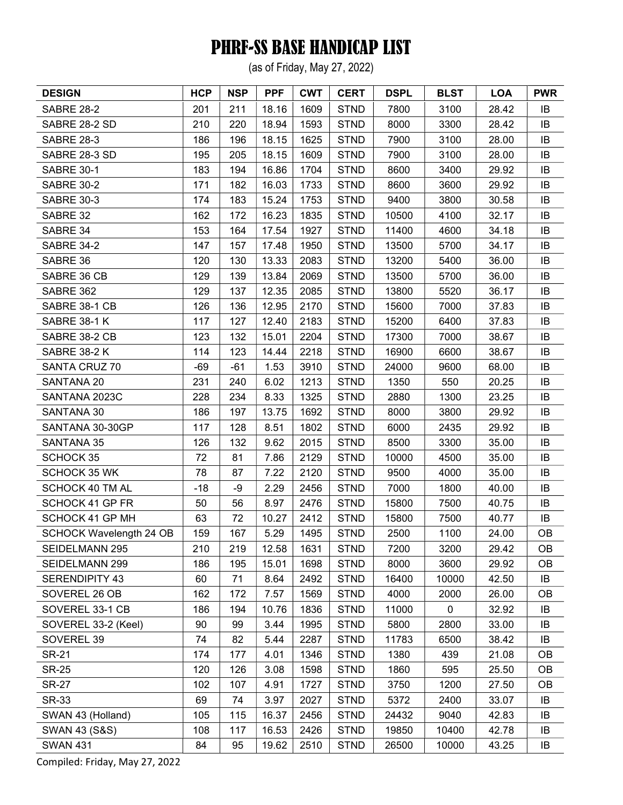(as of Friday, May 27, 2022)

| <b>DESIGN</b>                  | <b>HCP</b> | <b>NSP</b> | <b>PPF</b> | <b>CWT</b> | <b>CERT</b> | <b>DSPL</b> | <b>BLST</b> | <b>LOA</b> | <b>PWR</b> |
|--------------------------------|------------|------------|------------|------------|-------------|-------------|-------------|------------|------------|
| <b>SABRE 28-2</b>              | 201        | 211        | 18.16      | 1609       | <b>STND</b> | 7800        | 3100        | 28.42      | IB         |
| SABRE 28-2 SD                  | 210        | 220        | 18.94      | 1593       | <b>STND</b> | 8000        | 3300        | 28.42      | IB         |
| <b>SABRE 28-3</b>              | 186        | 196        | 18.15      | 1625       | <b>STND</b> | 7900        | 3100        | 28.00      | IB         |
| SABRE 28-3 SD                  | 195        | 205        | 18.15      | 1609       | <b>STND</b> | 7900        | 3100        | 28.00      | IB         |
| <b>SABRE 30-1</b>              | 183        | 194        | 16.86      | 1704       | <b>STND</b> | 8600        | 3400        | 29.92      | IB         |
| <b>SABRE 30-2</b>              | 171        | 182        | 16.03      | 1733       | <b>STND</b> | 8600        | 3600        | 29.92      | IB         |
| <b>SABRE 30-3</b>              | 174        | 183        | 15.24      | 1753       | <b>STND</b> | 9400        | 3800        | 30.58      | IB         |
| SABRE 32                       | 162        | 172        | 16.23      | 1835       | <b>STND</b> | 10500       | 4100        | 32.17      | IB         |
| SABRE 34                       | 153        | 164        | 17.54      | 1927       | <b>STND</b> | 11400       | 4600        | 34.18      | IB         |
| <b>SABRE 34-2</b>              | 147        | 157        | 17.48      | 1950       | <b>STND</b> | 13500       | 5700        | 34.17      | IB         |
| SABRE 36                       | 120        | 130        | 13.33      | 2083       | <b>STND</b> | 13200       | 5400        | 36.00      | IB         |
| SABRE 36 CB                    | 129        | 139        | 13.84      | 2069       | <b>STND</b> | 13500       | 5700        | 36.00      | IB         |
| SABRE 362                      | 129        | 137        | 12.35      | 2085       | <b>STND</b> | 13800       | 5520        | 36.17      | IB         |
| SABRE 38-1 CB                  | 126        | 136        | 12.95      | 2170       | <b>STND</b> | 15600       | 7000        | 37.83      | IB         |
| <b>SABRE 38-1 K</b>            | 117        | 127        | 12.40      | 2183       | <b>STND</b> | 15200       | 6400        | 37.83      | IB         |
| SABRE 38-2 CB                  | 123        | 132        | 15.01      | 2204       | <b>STND</b> | 17300       | 7000        | 38.67      | IB         |
| <b>SABRE 38-2 K</b>            | 114        | 123        | 14.44      | 2218       | <b>STND</b> | 16900       | 6600        | 38.67      | IB         |
| SANTA CRUZ 70                  | $-69$      | $-61$      | 1.53       | 3910       | <b>STND</b> | 24000       | 9600        | 68.00      | IB         |
| SANTANA 20                     | 231        | 240        | 6.02       | 1213       | <b>STND</b> | 1350        | 550         | 20.25      | IB         |
| SANTANA 2023C                  | 228        | 234        | 8.33       | 1325       | <b>STND</b> | 2880        | 1300        | 23.25      | IB         |
| SANTANA 30                     | 186        | 197        | 13.75      | 1692       | <b>STND</b> | 8000        | 3800        | 29.92      | IB         |
| SANTANA 30-30GP                | 117        | 128        | 8.51       | 1802       | <b>STND</b> | 6000        | 2435        | 29.92      | IB         |
| SANTANA 35                     | 126        | 132        | 9.62       | 2015       | <b>STND</b> | 8500        | 3300        | 35.00      | IB         |
| <b>SCHOCK 35</b>               | 72         | 81         | 7.86       | 2129       | <b>STND</b> | 10000       | 4500        | 35.00      | IB         |
| <b>SCHOCK 35 WK</b>            | 78         | 87         | 7.22       | 2120       | <b>STND</b> | 9500        | 4000        | 35.00      | IB         |
| <b>SCHOCK 40 TM AL</b>         | $-18$      | -9         | 2.29       | 2456       | <b>STND</b> | 7000        | 1800        | 40.00      | IB         |
| <b>SCHOCK 41 GP FR</b>         | 50         | 56         | 8.97       | 2476       | <b>STND</b> | 15800       | 7500        | 40.75      | IB         |
| <b>SCHOCK 41 GP MH</b>         | 63         | 72         | 10.27      | 2412       | <b>STND</b> | 15800       | 7500        | 40.77      | IB         |
| <b>SCHOCK Wavelength 24 OB</b> | 159        | 167        | 5.29       | 1495       | <b>STND</b> | 2500        | 1100        | 24.00      | <b>OB</b>  |
| <b>SEIDELMANN 295</b>          | 210        | 219        | 12.58      | 1631       | <b>STND</b> | 7200        | 3200        | 29.42      | OB         |
| SEIDELMANN 299                 | 186        | 195        | 15.01      | 1698       | <b>STND</b> | 8000        | 3600        | 29.92      | OB         |
| SERENDIPITY 43                 | 60         | 71         | 8.64       | 2492       | <b>STND</b> | 16400       | 10000       | 42.50      | IB         |
| SOVEREL 26 OB                  | 162        | 172        | 7.57       | 1569       | <b>STND</b> | 4000        | 2000        | 26.00      | OВ         |
| SOVEREL 33-1 CB                | 186        | 194        | 10.76      | 1836       | <b>STND</b> | 11000       | 0           | 32.92      | IB         |
| SOVEREL 33-2 (Keel)            | 90         | 99         | 3.44       | 1995       | <b>STND</b> | 5800        | 2800        | 33.00      | IB         |
| SOVEREL 39                     | 74         | 82         | 5.44       | 2287       | <b>STND</b> | 11783       | 6500        | 38.42      | IB         |
| <b>SR-21</b>                   | 174        | 177        | 4.01       | 1346       | <b>STND</b> | 1380        | 439         | 21.08      | OВ         |
| <b>SR-25</b>                   | 120        | 126        | 3.08       | 1598       | <b>STND</b> | 1860        | 595         | 25.50      | OB         |
| <b>SR-27</b>                   | 102        | 107        | 4.91       | 1727       | <b>STND</b> | 3750        | 1200        | 27.50      | OB         |
| <b>SR-33</b>                   | 69         | 74         | 3.97       | 2027       | <b>STND</b> | 5372        | 2400        | 33.07      | IB         |
| SWAN 43 (Holland)              | 105        | 115        | 16.37      | 2456       | <b>STND</b> | 24432       | 9040        | 42.83      | IB         |
| <b>SWAN 43 (S&amp;S)</b>       | 108        | 117        | 16.53      | 2426       | <b>STND</b> | 19850       | 10400       | 42.78      | IB         |
| <b>SWAN 431</b>                | 84         | 95         | 19.62      | 2510       | <b>STND</b> | 26500       | 10000       | 43.25      | IB         |
|                                |            |            |            |            |             |             |             |            |            |